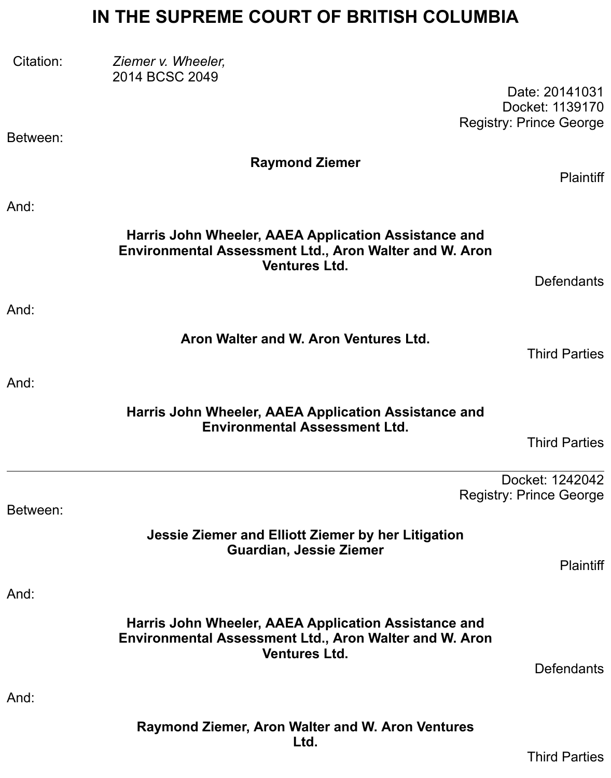# **IN THE SUPREME COURT OF BRITISH COLUMBIA**

| Citation: | Ziemer v. Wheeler,<br>2014 BCSC 2049                                                                                                          |                                                                     |
|-----------|-----------------------------------------------------------------------------------------------------------------------------------------------|---------------------------------------------------------------------|
| Between:  |                                                                                                                                               | Date: 20141031<br>Docket: 1139170<br><b>Registry: Prince George</b> |
|           | <b>Raymond Ziemer</b>                                                                                                                         |                                                                     |
|           |                                                                                                                                               | <b>Plaintiff</b>                                                    |
| And:      |                                                                                                                                               |                                                                     |
|           | Harris John Wheeler, AAEA Application Assistance and<br><b>Environmental Assessment Ltd., Aron Walter and W. Aron</b><br><b>Ventures Ltd.</b> |                                                                     |
|           |                                                                                                                                               | <b>Defendants</b>                                                   |
| And:      |                                                                                                                                               |                                                                     |
|           | Aron Walter and W. Aron Ventures Ltd.                                                                                                         | <b>Third Parties</b>                                                |
| And:      |                                                                                                                                               |                                                                     |
|           | Harris John Wheeler, AAEA Application Assistance and                                                                                          |                                                                     |
|           | <b>Environmental Assessment Ltd.</b>                                                                                                          | <b>Third Parties</b>                                                |
|           |                                                                                                                                               | Docket: 1242042                                                     |
|           |                                                                                                                                               | <b>Registry: Prince George</b>                                      |
| Between:  |                                                                                                                                               |                                                                     |
|           | Jessie Ziemer and Elliott Ziemer by her Litigation<br><b>Guardian, Jessie Ziemer</b>                                                          | <b>Plaintiff</b>                                                    |
| And:      |                                                                                                                                               |                                                                     |
|           | Harris John Wheeler, AAEA Application Assistance and                                                                                          |                                                                     |
|           | <b>Environmental Assessment Ltd., Aron Walter and W. Aron</b><br><b>Ventures Ltd.</b>                                                         |                                                                     |
|           |                                                                                                                                               | <b>Defendants</b>                                                   |
| And:      |                                                                                                                                               |                                                                     |
|           | Raymond Ziemer, Aron Walter and W. Aron Ventures<br>Ltd.                                                                                      |                                                                     |
|           |                                                                                                                                               | <b>Third Parties</b>                                                |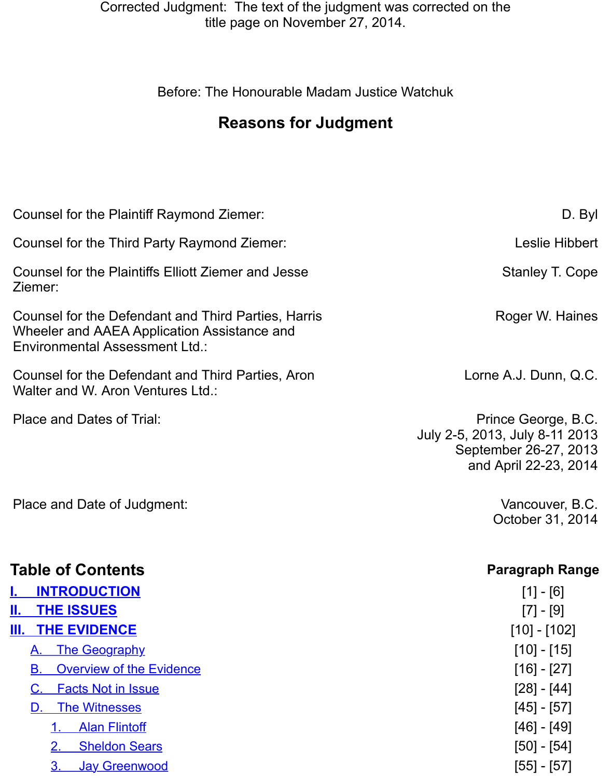# **Reasons for Judgment**

| Counsel for the Plaintiff Raymond Ziemer:                                                                                            |                                                        |
|--------------------------------------------------------------------------------------------------------------------------------------|--------------------------------------------------------|
| Counsel for the Third Party Raymond Ziemer:                                                                                          |                                                        |
| Counsel for the Plaintiffs Elliott Ziemer and Jesse<br>Ziemer:                                                                       | <b>Sta</b>                                             |
| Counsel for the Defendant and Third Parties, Harris<br>Wheeler and AAEA Application Assistance and<br>Environmental Assessment Ltd.: | Rog                                                    |
| Counsel for the Defendant and Third Parties, Aron<br>Walter and W. Aron Ventures Ltd.:                                               | Lorne A.J                                              |
| Place and Dates of Trial:                                                                                                            | Prince<br>July 2-5, 2013, Jul<br>September<br>and Apri |
| Place and Date of Judgment:                                                                                                          | Var<br>Octd                                            |
| <b>Table of Contents</b>                                                                                                             | Para                                                   |
| <b>INTRODUCTION</b>                                                                                                                  |                                                        |
| Ш.<br><b>THE ISSUES</b><br><u>III. </u><br><b>THE EVIDENCE</b>                                                                       |                                                        |
| The Geography<br>Α.                                                                                                                  |                                                        |
| <b>Overview of the Evidence</b><br>В.                                                                                                |                                                        |
| <b>Facts Not in Issue</b><br>C.                                                                                                      |                                                        |
| <b>The Witnesses</b><br>D.                                                                                                           |                                                        |
| <b>Alan Flintoff</b>                                                                                                                 |                                                        |
| <b>Sheldon Sears</b>                                                                                                                 |                                                        |
| <b>Jay Greenwood</b><br><u>3.</u>                                                                                                    |                                                        |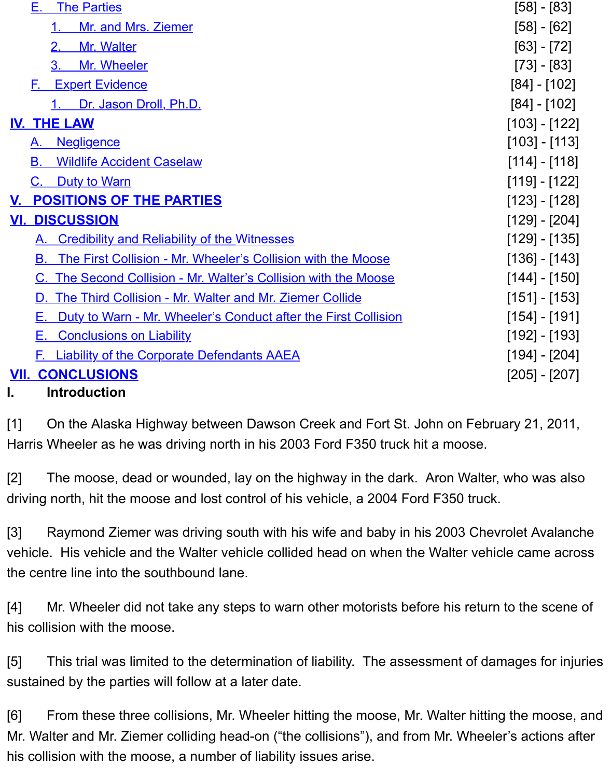|     | <u>ט הרב הוסוס ווסטסט הס</u>                                      |    |  |  |  |
|-----|-------------------------------------------------------------------|----|--|--|--|
|     | <b>IV. THE LAW</b>                                                | [1 |  |  |  |
|     | A. Negligence                                                     | [1 |  |  |  |
|     | <b>Wildlife Accident Caselaw</b><br>В.                            | [1 |  |  |  |
|     | C. Duty to Warn                                                   | [1 |  |  |  |
|     | V. POSITIONS OF THE PARTIES                                       | [1 |  |  |  |
| VI. | <b>DISCUSSION</b>                                                 | [1 |  |  |  |
|     | A. Credibility and Reliability of the Witnesses                   | [1 |  |  |  |
|     | B. The First Collision - Mr. Wheeler's Collision with the Moose   | [1 |  |  |  |
|     | C. The Second Collision - Mr. Walter's Collision with the Moose   | [1 |  |  |  |
|     | D. The Third Collision - Mr. Walter and Mr. Ziemer Collide        | [1 |  |  |  |
|     | E. Duty to Warn - Mr. Wheeler's Conduct after the First Collision | [1 |  |  |  |
|     | <b>E.</b> Conclusions on Liability                                | [1 |  |  |  |
|     | <b>F.</b> Liability of the Corporate Defendants AAEA              | [1 |  |  |  |
|     | <b>VII. CONCLUSIONS</b><br>$\mathsf{I}2$                          |    |  |  |  |
|     | <b>Introduction</b>                                               |    |  |  |  |

[1] [On the Alaska Highway between Dawson Creek and Fort S](#page-26-1)t. John on February Harr[is Wheeler as he was drivin](#page-32-0)g north in his 2003 Ford F350 truck hit a moose.

<span id="page-2-0"></span>[2] [The moose, dea](#page-35-0)d or wounded, lay on the highway in the dark. Aron Walter, wh driving north, hit the moose and lost control of his vehicle, a 2004 Ford F350 truck.

[3] Raymond Ziemer was driving south with his wife and baby in his 2003 Chevrole vehicle. His vehicle and the Walter vehicle collided head on when the Walter vehicle the centre line into the southbound lane.

[4] Mr. Wheeler did not take any steps to warn other motorists before his return to his collision with the moose.

[5] This trial was limited to the determination of liability. The assessment of damages sustained by the parties will follow at a later date.

[6] From these three collisions, Mr. Wheeler hitting the moose, Mr. Walter hitting the Mr. Walter and Mr. Ziemer colliding head-on ("the collisions"), and from Mr. Wheeler's his collision with the moose, a number of liability issues arise.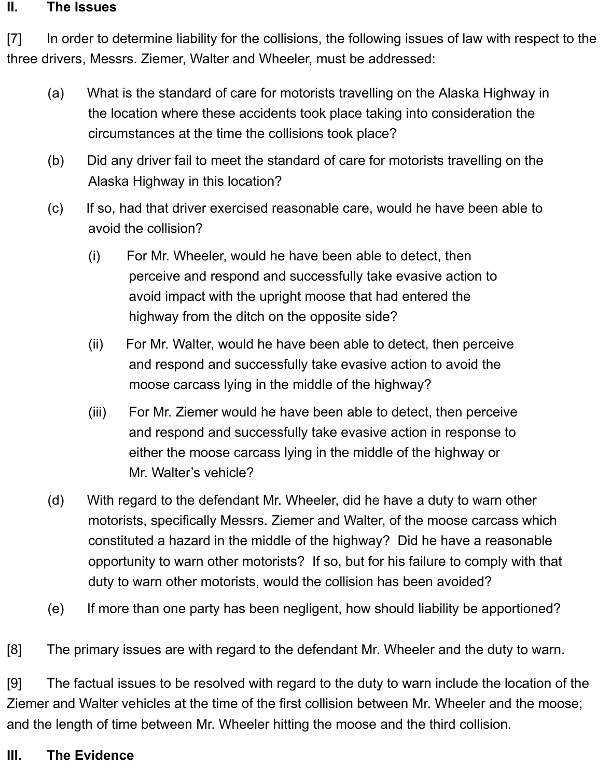#### <span id="page-3-0"></span>**II. The Issues**

[7] In order to determine liability for the collisions, the following issues of law with respect to the three drivers, Messrs. Ziemer, Walter and Wheeler, must be addressed:

- (a) What is the standard of care for motorists travelling on the Alaska Highway in the location where these accidents took place taking into consideration the circumstances at the time the collisions took place?
- (b) Did any driver fail to meet the standard of care for motorists travelling on the Alaska Highway in this location?
- (c) If so, had that driver exercised reasonable care, would he have been able to avoid the collision?
	- (i) For Mr. Wheeler, would he have been able to detect, then perceive and respond and successfully take evasive action to avoid impact with the upright moose that had entered the highway from the ditch on the opposite side?
	- (ii) For Mr. Walter, would he have been able to detect, then perceive and respond and successfully take evasive action to avoid the moose carcass lying in the middle of the highway?
	- (iii) For Mr. Ziemer would he have been able to detect, then perceive and respond and successfully take evasive action in response to either the moose carcass lying in the middle of the highway or Mr. Walter's vehicle?
- (d) With regard to the defendant Mr. Wheeler, did he have a duty to warn other motorists, specifically Messrs. Ziemer and Walter, of the moose carcass which constituted a hazard in the middle of the highway? Did he have a reasonable opportunity to warn other motorists? If so, but for his failure to comply with that duty to warn other motorists, would the collision has been avoided?
- (e) If more than one party has been negligent, how should liability be apportioned?

[8] The primary issues are with regard to the defendant Mr. Wheeler and the duty to warn.

[9] The factual issues to be resolved with regard to the duty to warn include the location of the Ziemer and Walter vehicles at the time of the first collision between Mr. Wheeler and the moose; and the length of time between Mr. Wheeler hitting the moose and the third collision.

#### <span id="page-3-1"></span>**III. The Evidence**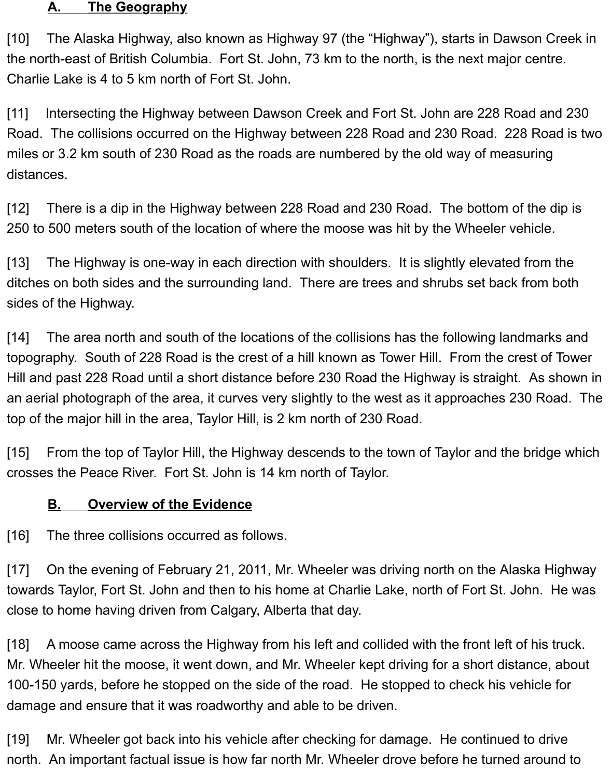#### <span id="page-4-0"></span>**A. The Geography**

[10] The Alaska Highway, also known as Highway 97 (the "Highway"), starts in Dawson Creek in the north-east of British Columbia. Fort St. John, 73 km to the north, is the next major centre. Charlie Lake is 4 to 5 km north of Fort St. John.

[11] Intersecting the Highway between Dawson Creek and Fort St. John are 228 Road and 230 Road. The collisions occurred on the Highway between 228 Road and 230 Road. 228 Road is two miles or 3.2 km south of 230 Road as the roads are numbered by the old way of measuring distances.

[12] There is a dip in the Highway between 228 Road and 230 Road. The bottom of the dip is 250 to 500 meters south of the location of where the moose was hit by the Wheeler vehicle.

[13] The Highway is one-way in each direction with shoulders. It is slightly elevated from the ditches on both sides and the surrounding land. There are trees and shrubs set back from both sides of the Highway.

[14] The area north and south of the locations of the collisions has the following landmarks and topography. South of 228 Road is the crest of a hill known as Tower Hill. From the crest of Tower Hill and past 228 Road until a short distance before 230 Road the Highway is straight. As shown in an aerial photograph of the area, it curves very slightly to the west as it approaches 230 Road. The top of the major hill in the area, Taylor Hill, is 2 km north of 230 Road.

[15] From the top of Taylor Hill, the Highway descends to the town of Taylor and the bridge which crosses the Peace River. Fort St. John is 14 km north of Taylor.

#### <span id="page-4-1"></span>**B. Overview of the Evidence**

[16] The three collisions occurred as follows.

[17] On the evening of February 21, 2011, Mr. Wheeler was driving north on the Alaska Highway towards Taylor, Fort St. John and then to his home at Charlie Lake, north of Fort St. John. He was close to home having driven from Calgary, Alberta that day.

[18] A moose came across the Highway from his left and collided with the front left of his truck. Mr. Wheeler hit the moose, it went down, and Mr. Wheeler kept driving for a short distance, about 100-150 yards, before he stopped on the side of the road. He stopped to check his vehicle for damage and ensure that it was roadworthy and able to be driven.

[19] Mr. Wheeler got back into his vehicle after checking for damage. He continued to drive north. An important factual issue is how far north Mr. Wheeler drove before he turned around to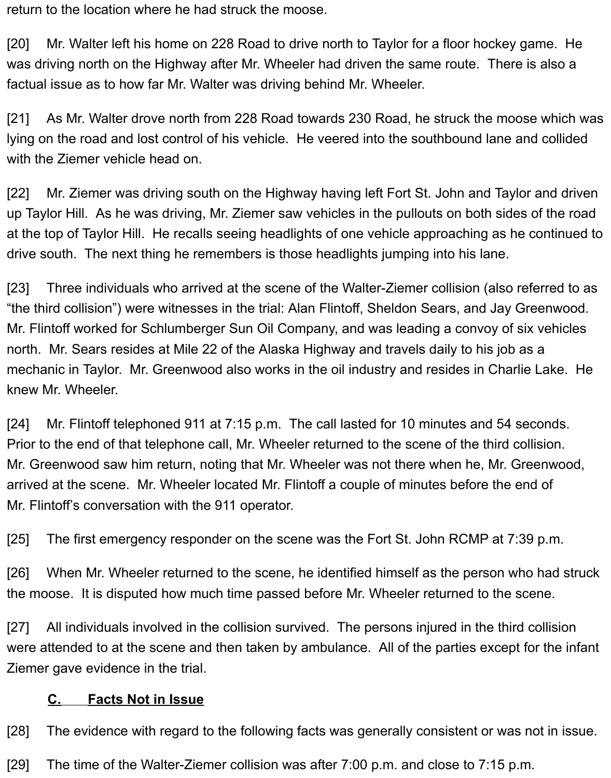return to the location where he had struck the moose.

[20] Mr. Walter left his home on 228 Road to drive north to Taylor for a floor hockey game. He was driving north on the Highway after Mr. Wheeler had driven the same route. There is also a factual issue as to how far Mr. Walter was driving behind Mr. Wheeler.

[21] As Mr. Walter drove north from 228 Road towards 230 Road, he struck the moose which was lying on the road and lost control of his vehicle. He veered into the southbound lane and collided with the Ziemer vehicle head on.

[22] Mr. Ziemer was driving south on the Highway having left Fort St. John and Taylor and driven up Taylor Hill. As he was driving, Mr. Ziemer saw vehicles in the pullouts on both sides of the road at the top of Taylor Hill. He recalls seeing headlights of one vehicle approaching as he continued to drive south. The next thing he remembers is those headlights jumping into his lane.

[23] Three individuals who arrived at the scene of the Walter-Ziemer collision (also referred to as "the third collision") were witnesses in the trial: Alan Flintoff, Sheldon Sears, and Jay Greenwood. Mr. Flintoff worked for Schlumberger Sun Oil Company, and was leading a convoy of six vehicles north. Mr. Sears resides at Mile 22 of the Alaska Highway and travels daily to his job as a mechanic in Taylor. Mr. Greenwood also works in the oil industry and resides in Charlie Lake. He knew Mr. Wheeler.

[24] Mr. Flintoff telephoned 911 at 7:15 p.m. The call lasted for 10 minutes and 54 seconds. Prior to the end of that telephone call, Mr. Wheeler returned to the scene of the third collision. Mr. Greenwood saw him return, noting that Mr. Wheeler was not there when he, Mr. Greenwood, arrived at the scene. Mr. Wheeler located Mr. Flintoff a couple of minutes before the end of Mr. Flintoff's conversation with the 911 operator.

[25] The first emergency responder on the scene was the Fort St. John RCMP at 7:39 p.m.

[26] When Mr. Wheeler returned to the scene, he identified himself as the person who had struck the moose. It is disputed how much time passed before Mr. Wheeler returned to the scene.

[27] All individuals involved in the collision survived. The persons injured in the third collision were attended to at the scene and then taken by ambulance. All of the parties except for the infant Ziemer gave evidence in the trial.

#### **C. Facts Not in Issue**

[28] The evidence with regard to the following facts was generally consistent or was not in issue.

[29] The time of the Walter-Ziemer collision was after 7:00 p.m. and close to 7:15 p.m.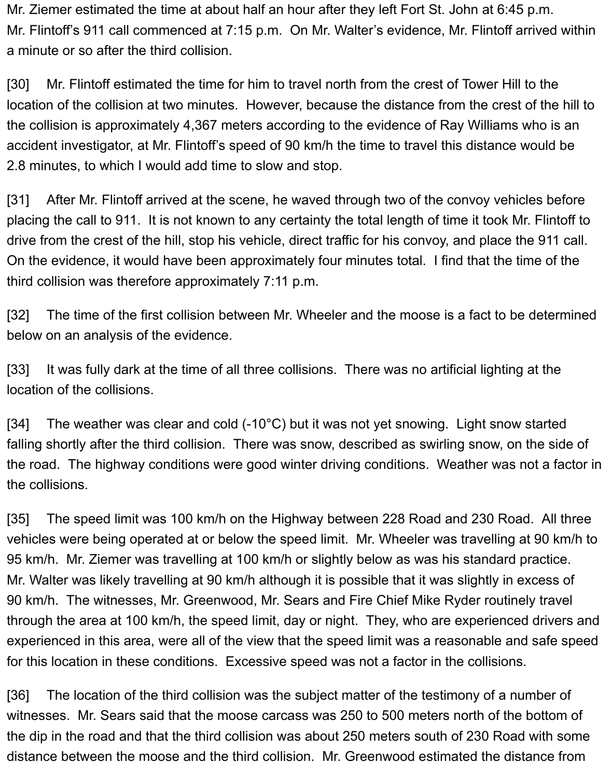Mr. Ziemer estimated the time at about half an hour after they left Fort St. John at 6:45 p.m. Mr. Flintoff's 911 call commenced at 7:15 p.m. On Mr. Walter's evidence, Mr. Flintoff arrived within a minute or so after the third collision.

[30] Mr. Flintoff estimated the time for him to travel north from the crest of Tower Hill to the location of the collision at two minutes. However, because the distance from the crest of the hill to the collision is approximately 4,367 meters according to the evidence of Ray Williams who is an accident investigator, at Mr. Flintoff's speed of 90 km/h the time to travel this distance would be 2.8 minutes, to which I would add time to slow and stop.

[31] After Mr. Flintoff arrived at the scene, he waved through two of the convoy vehicles before placing the call to 911. It is not known to any certainty the total length of time it took Mr. Flintoff to drive from the crest of the hill, stop his vehicle, direct traffic for his convoy, and place the 911 call. On the evidence, it would have been approximately four minutes total. I find that the time of the third collision was therefore approximately 7:11 p.m.

[32] The time of the first collision between Mr. Wheeler and the moose is a fact to be determined below on an analysis of the evidence.

[33] It was fully dark at the time of all three collisions. There was no artificial lighting at the location of the collisions.

[34] The weather was clear and cold (-10°C) but it was not yet snowing. Light snow started falling shortly after the third collision. There was snow, described as swirling snow, on the side of the road. The highway conditions were good winter driving conditions. Weather was not a factor in the collisions.

[35] The speed limit was 100 km/h on the Highway between 228 Road and 230 Road. All three vehicles were being operated at or below the speed limit. Mr. Wheeler was travelling at 90 km/h to 95 km/h. Mr. Ziemer was travelling at 100 km/h or slightly below as was his standard practice. Mr. Walter was likely travelling at 90 km/h although it is possible that it was slightly in excess of 90 km/h. The witnesses, Mr. Greenwood, Mr. Sears and Fire Chief Mike Ryder routinely travel through the area at 100 km/h, the speed limit, day or night. They, who are experienced drivers and experienced in this area, were all of the view that the speed limit was a reasonable and safe speed for this location in these conditions. Excessive speed was not a factor in the collisions.

[36] The location of the third collision was the subject matter of the testimony of a number of witnesses. Mr. Sears said that the moose carcass was 250 to 500 meters north of the bottom of the dip in the road and that the third collision was about 250 meters south of 230 Road with some distance between the moose and the third collision. Mr. Greenwood estimated the distance from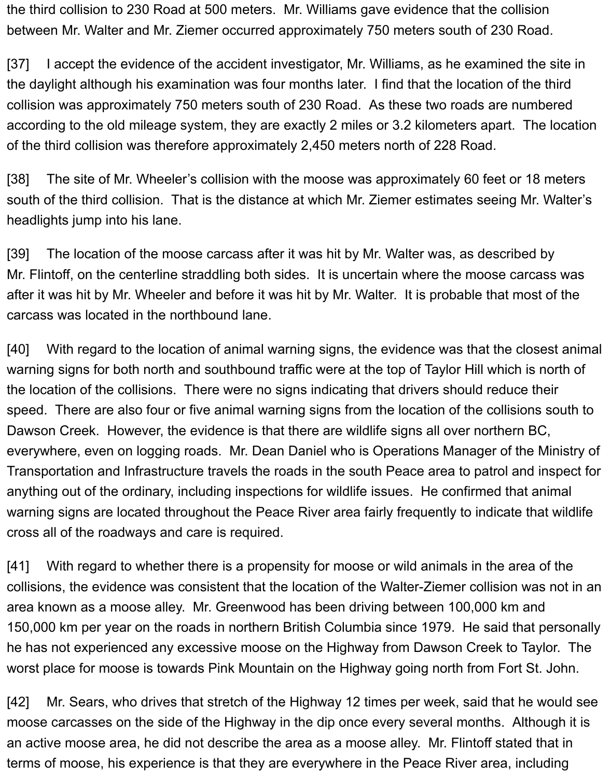the third collision to 230 Road at 500 meters. Mr. Williams gave evidence that the collision between Mr. Walter and Mr. Ziemer occurred approximately 750 meters south of 230 Road.

[37] I accept the evidence of the accident investigator, Mr. Williams, as he examined the site in the daylight although his examination was four months later. I find that the location of the third collision was approximately 750 meters south of 230 Road. As these two roads are numbered according to the old mileage system, they are exactly 2 miles or 3.2 kilometers apart. The location of the third collision was therefore approximately 2,450 meters north of 228 Road.

[38] The site of Mr. Wheeler's collision with the moose was approximately 60 feet or 18 meters south of the third collision. That is the distance at which Mr. Ziemer estimates seeing Mr. Walter's headlights jump into his lane.

[39] The location of the moose carcass after it was hit by Mr. Walter was, as described by Mr. Flintoff, on the centerline straddling both sides. It is uncertain where the moose carcass was after it was hit by Mr. Wheeler and before it was hit by Mr. Walter. It is probable that most of the carcass was located in the northbound lane.

[40] With regard to the location of animal warning signs, the evidence was that the closest animal warning signs for both north and southbound traffic were at the top of Taylor Hill which is north of the location of the collisions. There were no signs indicating that drivers should reduce their speed. There are also four or five animal warning signs from the location of the collisions south to Dawson Creek. However, the evidence is that there are wildlife signs all over northern BC, everywhere, even on logging roads. Mr. Dean Daniel who is Operations Manager of the Ministry of Transportation and Infrastructure travels the roads in the south Peace area to patrol and inspect for anything out of the ordinary, including inspections for wildlife issues. He confirmed that animal warning signs are located throughout the Peace River area fairly frequently to indicate that wildlife cross all of the roadways and care is required.

[41] With regard to whether there is a propensity for moose or wild animals in the area of the collisions, the evidence was consistent that the location of the Walter-Ziemer collision was not in an area known as a moose alley. Mr. Greenwood has been driving between 100,000 km and 150,000 km per year on the roads in northern British Columbia since 1979. He said that personally he has not experienced any excessive moose on the Highway from Dawson Creek to Taylor. The worst place for moose is towards Pink Mountain on the Highway going north from Fort St. John.

[42] Mr. Sears, who drives that stretch of the Highway 12 times per week, said that he would see moose carcasses on the side of the Highway in the dip once every several months. Although it is an active moose area, he did not describe the area as a moose alley. Mr. Flintoff stated that in terms of moose, his experience is that they are everywhere in the Peace River area, including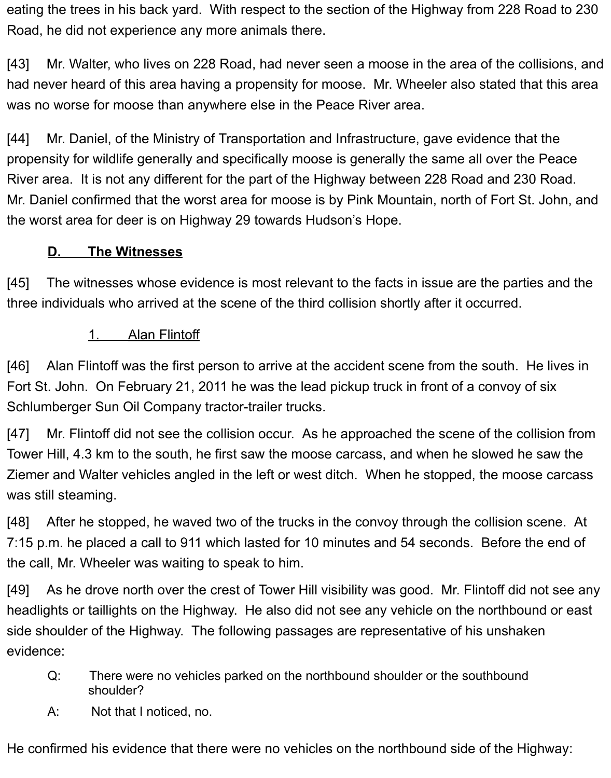eating the trees in his back yard. With respect to the section of the Highway from 228 Road to 230 Road, he did not experience any more animals there.

[43] Mr. Walter, who lives on 228 Road, had never seen a moose in the area of the collisions, and had never heard of this area having a propensity for moose. Mr. Wheeler also stated that this area was no worse for moose than anywhere else in the Peace River area.

[44] Mr. Daniel, of the Ministry of Transportation and Infrastructure, gave evidence that the propensity for wildlife generally and specifically moose is generally the same all over the Peace River area. It is not any different for the part of the Highway between 228 Road and 230 Road. Mr. Daniel confirmed that the worst area for moose is by Pink Mountain, north of Fort St. John, and the worst area for deer is on Highway 29 towards Hudson's Hope.

## **D. The Witnesses**

[45] The witnesses whose evidence is most relevant to the facts in issue are the parties and the three individuals who arrived at the scene of the third collision shortly after it occurred.

## 1. Alan Flintoff

[46] Alan Flintoff was the first person to arrive at the accident scene from the south. He lives in Fort St. John. On February 21, 2011 he was the lead pickup truck in front of a convoy of six Schlumberger Sun Oil Company tractor-trailer trucks.

[47] Mr. Flintoff did not see the collision occur. As he approached the scene of the collision from Tower Hill, 4.3 km to the south, he first saw the moose carcass, and when he slowed he saw the Ziemer and Walter vehicles angled in the left or west ditch. When he stopped, the moose carcass was still steaming.

[48] After he stopped, he waved two of the trucks in the convoy through the collision scene. At 7:15 p.m. he placed a call to 911 which lasted for 10 minutes and 54 seconds. Before the end of the call, Mr. Wheeler was waiting to speak to him.

[49] As he drove north over the crest of Tower Hill visibility was good. Mr. Flintoff did not see any headlights or taillights on the Highway. He also did not see any vehicle on the northbound or east side shoulder of the Highway. The following passages are representative of his unshaken evidence:

- Q: There were no vehicles parked on the northbound shoulder or the southbound shoulder?
- A: Not that I noticed, no.

He confirmed his evidence that there were no vehicles on the northbound side of the Highway: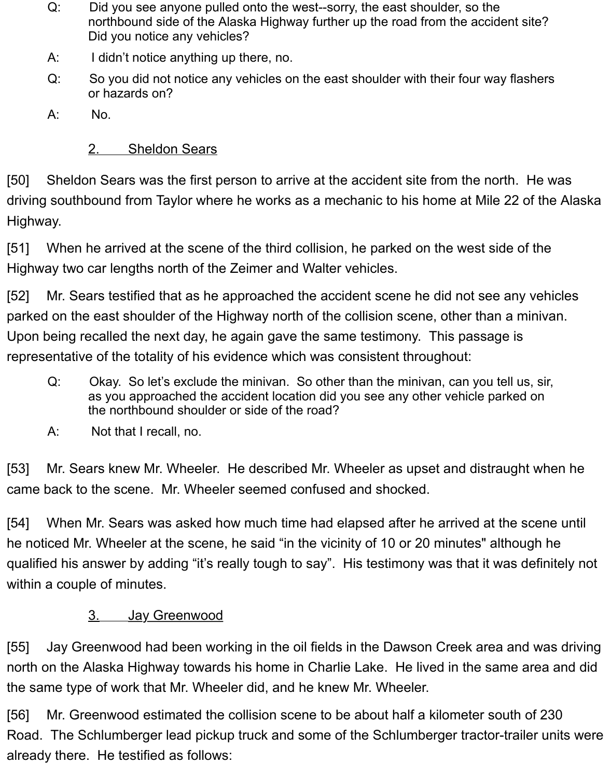- Q: Did you see anyone pulled onto the west--sorry, the east shoulder, so the northbound side of the Alaska Highway further up the road from the accident site? Did you notice any vehicles?
- A: I didn't notice anything up there, no.
- Q: So you did not notice any vehicles on the east shoulder with their four way flashers or hazards on?
- A: No.

#### 2. Sheldon Sears

[50] Sheldon Sears was the first person to arrive at the accident site from the north. He was driving southbound from Taylor where he works as a mechanic to his home at Mile 22 of the Alaska Highway.

[51] When he arrived at the scene of the third collision, he parked on the west side of the Highway two car lengths north of the Zeimer and Walter vehicles.

[52] Mr. Sears testified that as he approached the accident scene he did not see any vehicles parked on the east shoulder of the Highway north of the collision scene, other than a minivan. Upon being recalled the next day, he again gave the same testimony. This passage is representative of the totality of his evidence which was consistent throughout:

- Q: Okay. So let's exclude the minivan. So other than the minivan, can you tell us, sir, as you approached the accident location did you see any other vehicle parked on the northbound shoulder or side of the road?
- A: Not that I recall, no.

[53] Mr. Sears knew Mr. Wheeler. He described Mr. Wheeler as upset and distraught when he came back to the scene. Mr. Wheeler seemed confused and shocked.

[54] When Mr. Sears was asked how much time had elapsed after he arrived at the scene until he noticed Mr. Wheeler at the scene, he said "in the vicinity of 10 or 20 minutes" although he qualified his answer by adding "it's really tough to say". His testimony was that it was definitely not within a couple of minutes.

#### 3. Jay Greenwood

[55] Jay Greenwood had been working in the oil fields in the Dawson Creek area and was driving north on the Alaska Highway towards his home in Charlie Lake. He lived in the same area and did the same type of work that Mr. Wheeler did, and he knew Mr. Wheeler.

[56] Mr. Greenwood estimated the collision scene to be about half a kilometer south of 230 Road. The Schlumberger lead pickup truck and some of the Schlumberger tractor-trailer units were already there. He testified as follows: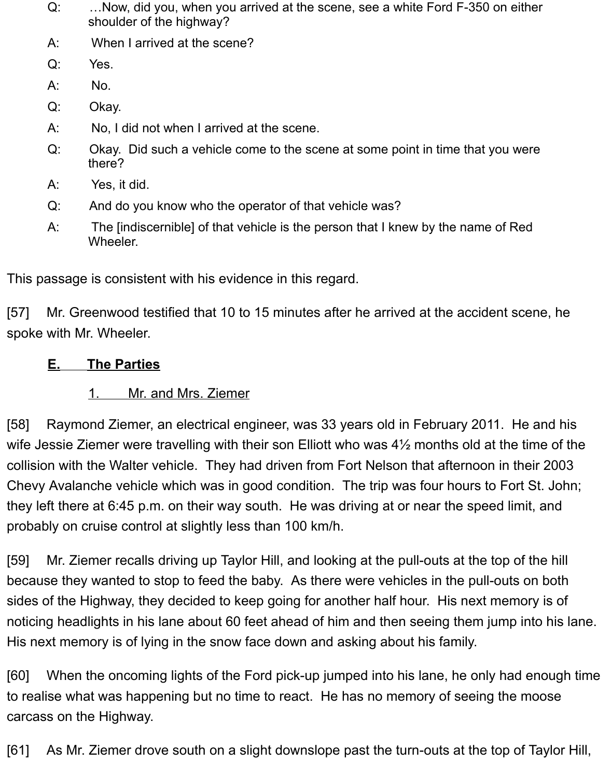- Q: …Now, did you, when you arrived at the scene, see a white Ford F-350 on either shoulder of the highway?
- A: When I arrived at the scene?
- Q: Yes.
- A: No.
- Q: Okay.
- A: No, I did not when I arrived at the scene.
- Q: Okay. Did such a vehicle come to the scene at some point in time that you were there?
- A: Yes, it did.
- Q: And do you know who the operator of that vehicle was?
- A: The [indiscernible] of that vehicle is the person that I knew by the name of Red Wheeler.

This passage is consistent with his evidence in this regard.

[57] Mr. Greenwood testified that 10 to 15 minutes after he arrived at the accident scene, he spoke with Mr. Wheeler.

# <span id="page-10-0"></span>**E. The Parties**

# <span id="page-10-1"></span>1. Mr. and Mrs. Ziemer

[58] Raymond Ziemer, an electrical engineer, was 33 years old in February 2011. He and his wife Jessie Ziemer were travelling with their son Elliott who was 4½ months old at the time of the collision with the Walter vehicle. They had driven from Fort Nelson that afternoon in their 2003 Chevy Avalanche vehicle which was in good condition. The trip was four hours to Fort St. John; they left there at 6:45 p.m. on their way south. He was driving at or near the speed limit, and probably on cruise control at slightly less than 100 km/h.

[59] Mr. Ziemer recalls driving up Taylor Hill, and looking at the pull-outs at the top of the hill because they wanted to stop to feed the baby. As there were vehicles in the pull-outs on both sides of the Highway, they decided to keep going for another half hour. His next memory is of noticing headlights in his lane about 60 feet ahead of him and then seeing them jump into his lane. His next memory is of lying in the snow face down and asking about his family.

[60] When the oncoming lights of the Ford pick-up jumped into his lane, he only had enough time to realise what was happening but no time to react. He has no memory of seeing the moose carcass on the Highway.

[61] As Mr. Ziemer drove south on a slight downslope past the turn-outs at the top of Taylor Hill,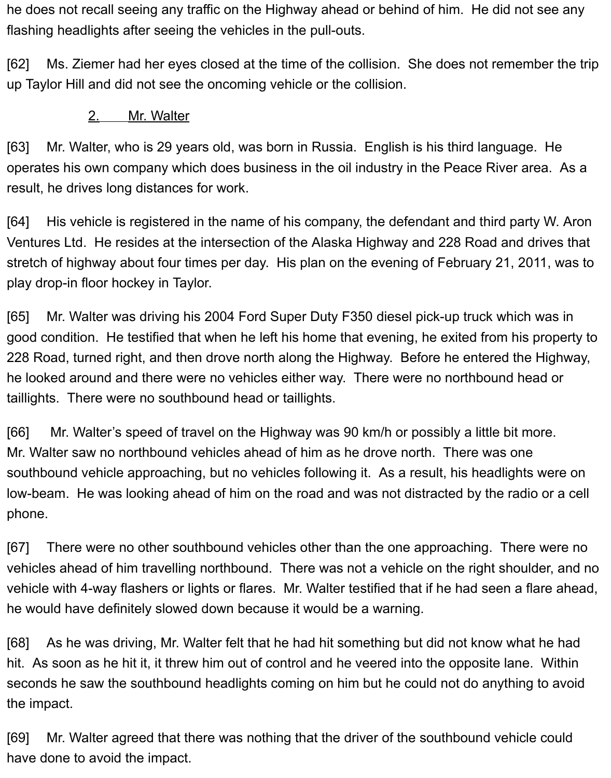he does not recall seeing any traffic on the Highway ahead or behind of him. He did not see any flashing headlights after seeing the vehicles in the pull-outs.

[62] Ms. Ziemer had her eyes closed at the time of the collision. She does not remember the trip up Taylor Hill and did not see the oncoming vehicle or the collision.

#### <span id="page-11-0"></span>2. Mr. Walter

[63] Mr. Walter, who is 29 years old, was born in Russia. English is his third language. He operates his own company which does business in the oil industry in the Peace River area. As a result, he drives long distances for work.

[64] His vehicle is registered in the name of his company, the defendant and third party W. Aron Ventures Ltd. He resides at the intersection of the Alaska Highway and 228 Road and drives that stretch of highway about four times per day. His plan on the evening of February 21, 2011, was to play drop-in floor hockey in Taylor.

[65] Mr. Walter was driving his 2004 Ford Super Duty F350 diesel pick-up truck which was in good condition. He testified that when he left his home that evening, he exited from his property to 228 Road, turned right, and then drove north along the Highway. Before he entered the Highway, he looked around and there were no vehicles either way. There were no northbound head or taillights. There were no southbound head or taillights.

[66] Mr. Walter's speed of travel on the Highway was 90 km/h or possibly a little bit more. Mr. Walter saw no northbound vehicles ahead of him as he drove north. There was one southbound vehicle approaching, but no vehicles following it. As a result, his headlights were on low-beam. He was looking ahead of him on the road and was not distracted by the radio or a cell phone.

[67] There were no other southbound vehicles other than the one approaching. There were no vehicles ahead of him travelling northbound. There was not a vehicle on the right shoulder, and no vehicle with 4-way flashers or lights or flares. Mr. Walter testified that if he had seen a flare ahead, he would have definitely slowed down because it would be a warning.

[68] As he was driving, Mr. Walter felt that he had hit something but did not know what he had hit. As soon as he hit it, it threw him out of control and he veered into the opposite lane. Within seconds he saw the southbound headlights coming on him but he could not do anything to avoid the impact.

[69] Mr. Walter agreed that there was nothing that the driver of the southbound vehicle could have done to avoid the impact.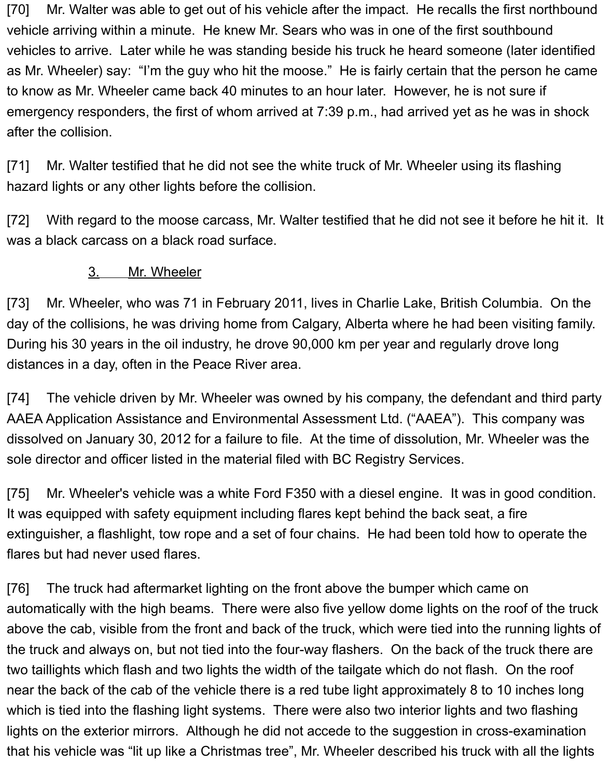[70] Mr. Walter was able to get out of his vehicle after the impact. He recalls the first northbound vehicle arriving within a minute. He knew Mr. Sears who was in one of the first southbound vehicles to arrive. Later while he was standing beside his truck he heard someone (later identified as Mr. Wheeler) say: "I'm the guy who hit the moose." He is fairly certain that the person he came to know as Mr. Wheeler came back 40 minutes to an hour later. However, he is not sure if emergency responders, the first of whom arrived at 7:39 p.m., had arrived yet as he was in shock after the collision.

[71] Mr. Walter testified that he did not see the white truck of Mr. Wheeler using its flashing hazard lights or any other lights before the collision.

[72] With regard to the moose carcass, Mr. Walter testified that he did not see it before he hit it. It was a black carcass on a black road surface.

#### <span id="page-12-0"></span>3. Mr. Wheeler

[73] Mr. Wheeler, who was 71 in February 2011, lives in Charlie Lake, British Columbia. On the day of the collisions, he was driving home from Calgary, Alberta where he had been visiting family. During his 30 years in the oil industry, he drove 90,000 km per year and regularly drove long distances in a day, often in the Peace River area.

[74] The vehicle driven by Mr. Wheeler was owned by his company, the defendant and third party AAEA Application Assistance and Environmental Assessment Ltd. ("AAEA"). This company was dissolved on January 30, 2012 for a failure to file. At the time of dissolution, Mr. Wheeler was the sole director and officer listed in the material filed with BC Registry Services.

[75] Mr. Wheeler's vehicle was a white Ford F350 with a diesel engine. It was in good condition. It was equipped with safety equipment including flares kept behind the back seat, a fire extinguisher, a flashlight, tow rope and a set of four chains. He had been told how to operate the flares but had never used flares.

[76] The truck had aftermarket lighting on the front above the bumper which came on automatically with the high beams. There were also five yellow dome lights on the roof of the truck above the cab, visible from the front and back of the truck, which were tied into the running lights of the truck and always on, but not tied into the four-way flashers. On the back of the truck there are two taillights which flash and two lights the width of the tailgate which do not flash. On the roof near the back of the cab of the vehicle there is a red tube light approximately 8 to 10 inches long which is tied into the flashing light systems. There were also two interior lights and two flashing lights on the exterior mirrors. Although he did not accede to the suggestion in cross-examination that his vehicle was "lit up like a Christmas tree", Mr. Wheeler described his truck with all the lights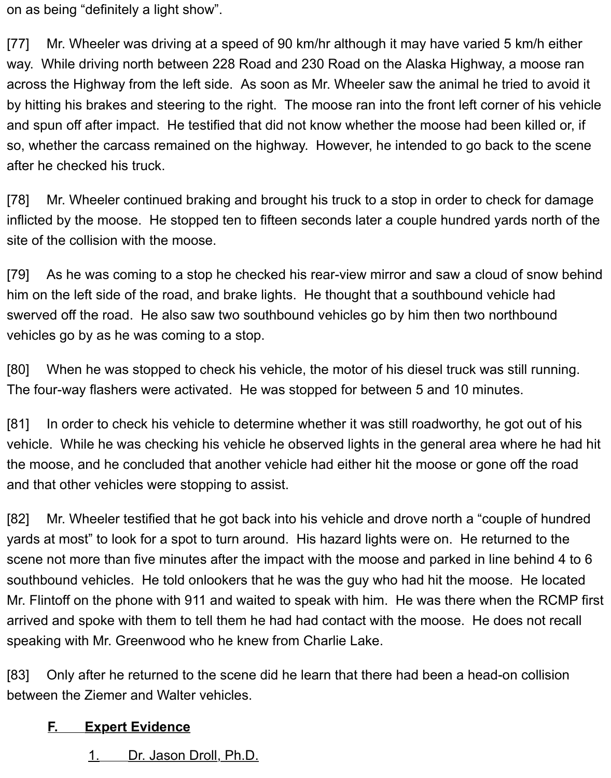on as being "definitely a light show".

[77] Mr. Wheeler was driving at a speed of 90 km/hr although it may have varied 5 km/h either way. While driving north between 228 Road and 230 Road on the Alaska Highway, a moose ran across the Highway from the left side. As soon as Mr. Wheeler saw the animal he tried to avoid it by hitting his brakes and steering to the right. The moose ran into the front left corner of his vehicle and spun off after impact. He testified that did not know whether the moose had been killed or, if so, whether the carcass remained on the highway. However, he intended to go back to the scene after he checked his truck.

[78] Mr. Wheeler continued braking and brought his truck to a stop in order to check for damage inflicted by the moose. He stopped ten to fifteen seconds later a couple hundred yards north of the site of the collision with the moose.

[79] As he was coming to a stop he checked his rear-view mirror and saw a cloud of snow behind him on the left side of the road, and brake lights. He thought that a southbound vehicle had swerved off the road. He also saw two southbound vehicles go by him then two northbound vehicles go by as he was coming to a stop.

[80] When he was stopped to check his vehicle, the motor of his diesel truck was still running. The four-way flashers were activated. He was stopped for between 5 and 10 minutes.

[81] In order to check his vehicle to determine whether it was still roadworthy, he got out of his vehicle. While he was checking his vehicle he observed lights in the general area where he had hit the moose, and he concluded that another vehicle had either hit the moose or gone off the road and that other vehicles were stopping to assist.

[82] Mr. Wheeler testified that he got back into his vehicle and drove north a "couple of hundred yards at most" to look for a spot to turn around. His hazard lights were on. He returned to the scene not more than five minutes after the impact with the moose and parked in line behind 4 to 6 southbound vehicles. He told onlookers that he was the guy who had hit the moose. He located Mr. Flintoff on the phone with 911 and waited to speak with him. He was there when the RCMP first arrived and spoke with them to tell them he had had contact with the moose. He does not recall speaking with Mr. Greenwood who he knew from Charlie Lake.

[83] Only after he returned to the scene did he learn that there had been a head-on collision between the Ziemer and Walter vehicles.

#### <span id="page-13-0"></span>**F. Expert Evidence**

<span id="page-13-1"></span>1. Dr. Jason Droll, Ph.D.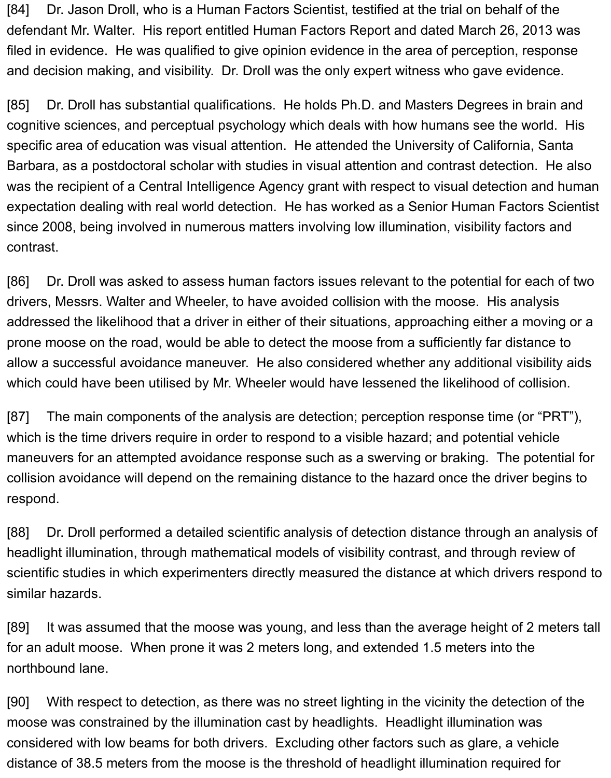[84] Dr. Jason Droll, who is a Human Factors Scientist, testified at the trial on behalf of the defendant Mr. Walter. His report entitled Human Factors Report and dated March 26, 2013 was filed in evidence. He was qualified to give opinion evidence in the area of perception, response and decision making, and visibility. Dr. Droll was the only expert witness who gave evidence.

[85] Dr. Droll has substantial qualifications. He holds Ph.D. and Masters Degrees in brain and cognitive sciences, and perceptual psychology which deals with how humans see the world. His specific area of education was visual attention. He attended the University of California, Santa Barbara, as a postdoctoral scholar with studies in visual attention and contrast detection. He also was the recipient of a Central Intelligence Agency grant with respect to visual detection and human expectation dealing with real world detection. He has worked as a Senior Human Factors Scientist since 2008, being involved in numerous matters involving low illumination, visibility factors and contrast.

[86] Dr. Droll was asked to assess human factors issues relevant to the potential for each of two drivers, Messrs. Walter and Wheeler, to have avoided collision with the moose. His analysis addressed the likelihood that a driver in either of their situations, approaching either a moving or a prone moose on the road, would be able to detect the moose from a sufficiently far distance to allow a successful avoidance maneuver. He also considered whether any additional visibility aids which could have been utilised by Mr. Wheeler would have lessened the likelihood of collision.

[87] The main components of the analysis are detection; perception response time (or "PRT"), which is the time drivers require in order to respond to a visible hazard; and potential vehicle maneuvers for an attempted avoidance response such as a swerving or braking. The potential for collision avoidance will depend on the remaining distance to the hazard once the driver begins to respond.

[88] Dr. Droll performed a detailed scientific analysis of detection distance through an analysis of headlight illumination, through mathematical models of visibility contrast, and through review of scientific studies in which experimenters directly measured the distance at which drivers respond to similar hazards.

[89] It was assumed that the moose was young, and less than the average height of 2 meters tall for an adult moose. When prone it was 2 meters long, and extended 1.5 meters into the northbound lane.

[90] With respect to detection, as there was no street lighting in the vicinity the detection of the moose was constrained by the illumination cast by headlights. Headlight illumination was considered with low beams for both drivers. Excluding other factors such as glare, a vehicle distance of 38.5 meters from the moose is the threshold of headlight illumination required for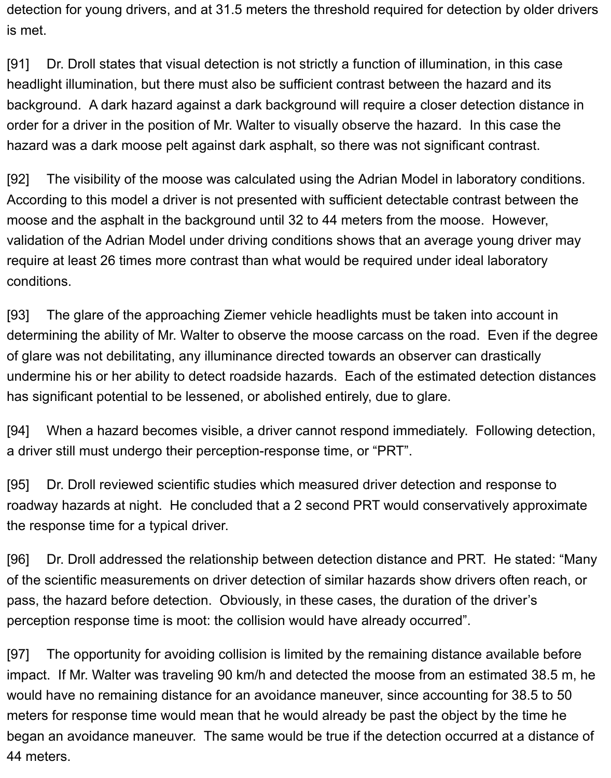detection for young drivers, and at 31.5 meters the threshold required for detection by older drivers is met.

[91] Dr. Droll states that visual detection is not strictly a function of illumination, in this case headlight illumination, but there must also be sufficient contrast between the hazard and its background. A dark hazard against a dark background will require a closer detection distance in order for a driver in the position of Mr. Walter to visually observe the hazard. In this case the hazard was a dark moose pelt against dark asphalt, so there was not significant contrast.

[92] The visibility of the moose was calculated using the Adrian Model in laboratory conditions. According to this model a driver is not presented with sufficient detectable contrast between the moose and the asphalt in the background until 32 to 44 meters from the moose. However, validation of the Adrian Model under driving conditions shows that an average young driver may require at least 26 times more contrast than what would be required under ideal laboratory conditions.

[93] The glare of the approaching Ziemer vehicle headlights must be taken into account in determining the ability of Mr. Walter to observe the moose carcass on the road. Even if the degree of glare was not debilitating, any illuminance directed towards an observer can drastically undermine his or her ability to detect roadside hazards. Each of the estimated detection distances has significant potential to be lessened, or abolished entirely, due to glare.

[94] When a hazard becomes visible, a driver cannot respond immediately. Following detection, a driver still must undergo their perception-response time, or "PRT".

[95] Dr. Droll reviewed scientific studies which measured driver detection and response to roadway hazards at night. He concluded that a 2 second PRT would conservatively approximate the response time for a typical driver.

[96] Dr. Droll addressed the relationship between detection distance and PRT. He stated: "Many of the scientific measurements on driver detection of similar hazards show drivers often reach, or pass, the hazard before detection. Obviously, in these cases, the duration of the driver's perception response time is moot: the collision would have already occurred".

[97] The opportunity for avoiding collision is limited by the remaining distance available before impact. If Mr. Walter was traveling 90 km/h and detected the moose from an estimated 38.5 m, he would have no remaining distance for an avoidance maneuver, since accounting for 38.5 to 50 meters for response time would mean that he would already be past the object by the time he began an avoidance maneuver. The same would be true if the detection occurred at a distance of 44 meters.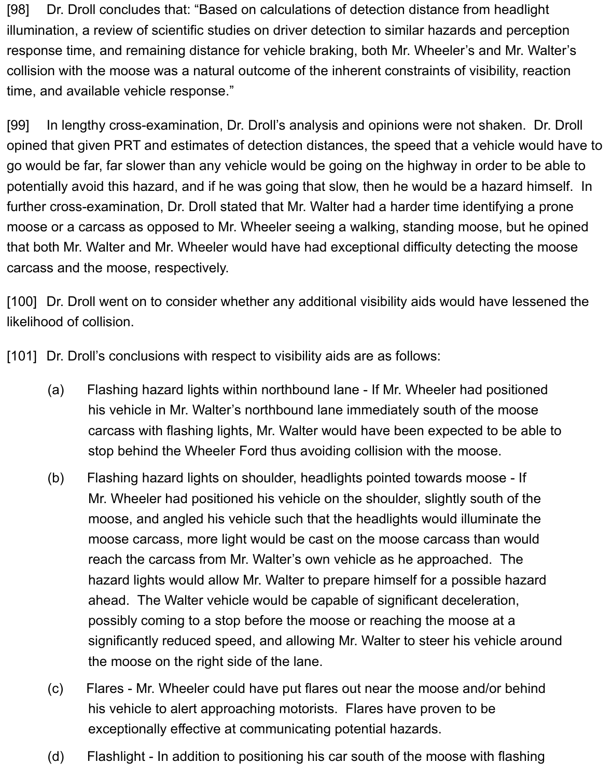[98] Dr. Droll concludes that: "Based on calculations of detection distance from headlight illumination, a review of scientific studies on driver detection to similar hazards and perception response time, and remaining distance for vehicle braking, both Mr. Wheeler's and Mr. Walter's collision with the moose was a natural outcome of the inherent constraints of visibility, reaction time, and available vehicle response."

[99] In lengthy cross-examination, Dr. Droll's analysis and opinions were not shaken. Dr. Droll opined that given PRT and estimates of detection distances, the speed that a vehicle would have to go would be far, far slower than any vehicle would be going on the highway in order to be able to potentially avoid this hazard, and if he was going that slow, then he would be a hazard himself. In further cross-examination, Dr. Droll stated that Mr. Walter had a harder time identifying a prone moose or a carcass as opposed to Mr. Wheeler seeing a walking, standing moose, but he opined that both Mr. Walter and Mr. Wheeler would have had exceptional difficulty detecting the moose carcass and the moose, respectively.

[100] Dr. Droll went on to consider whether any additional visibility aids would have lessened the likelihood of collision.

[101] Dr. Droll's conclusions with respect to visibility aids are as follows:

- (a) Flashing hazard lights within northbound lane If Mr. Wheeler had positioned his vehicle in Mr. Walter's northbound lane immediately south of the moose carcass with flashing lights, Mr. Walter would have been expected to be able to stop behind the Wheeler Ford thus avoiding collision with the moose.
- (b) Flashing hazard lights on shoulder, headlights pointed towards moose If Mr. Wheeler had positioned his vehicle on the shoulder, slightly south of the moose, and angled his vehicle such that the headlights would illuminate the moose carcass, more light would be cast on the moose carcass than would reach the carcass from Mr. Walter's own vehicle as he approached. The hazard lights would allow Mr. Walter to prepare himself for a possible hazard ahead. The Walter vehicle would be capable of significant deceleration, possibly coming to a stop before the moose or reaching the moose at a significantly reduced speed, and allowing Mr. Walter to steer his vehicle around the moose on the right side of the lane.
- (c) Flares Mr. Wheeler could have put flares out near the moose and/or behind his vehicle to alert approaching motorists. Flares have proven to be exceptionally effective at communicating potential hazards.
- (d) Flashlight In addition to positioning his car south of the moose with flashing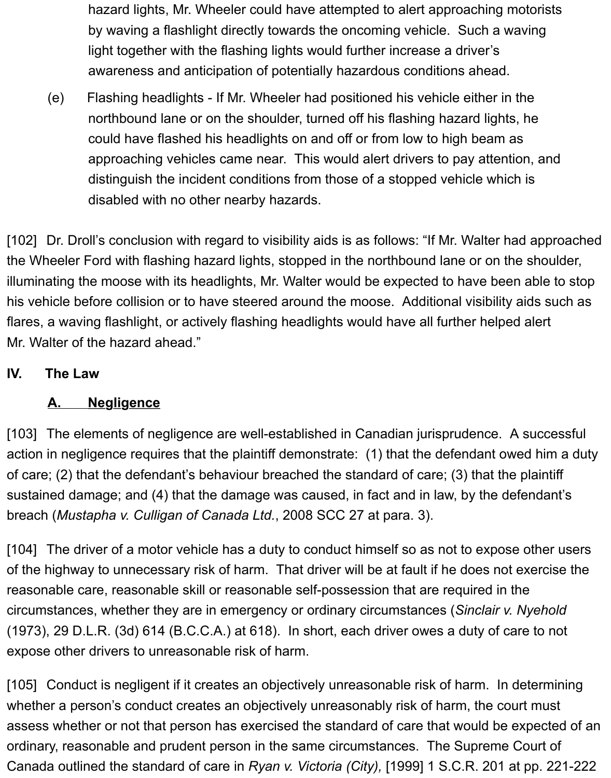hazard lights, Mr. Wheeler could have attempted to alert approaching motorists by waving a flashlight directly towards the oncoming vehicle. Such a waving light together with the flashing lights would further increase a driver's awareness and anticipation of potentially hazardous conditions ahead.

(e) Flashing headlights - If Mr. Wheeler had positioned his vehicle either in the northbound lane or on the shoulder, turned off his flashing hazard lights, he could have flashed his headlights on and off or from low to high beam as approaching vehicles came near. This would alert drivers to pay attention, and distinguish the incident conditions from those of a stopped vehicle which is disabled with no other nearby hazards.

[102] Dr. Droll's conclusion with regard to visibility aids is as follows: "If Mr. Walter had approached the Wheeler Ford with flashing hazard lights, stopped in the northbound lane or on the shoulder, illuminating the moose with its headlights, Mr. Walter would be expected to have been able to stop his vehicle before collision or to have steered around the moose. Additional visibility aids such as flares, a waving flashlight, or actively flashing headlights would have all further helped alert Mr. Walter of the hazard ahead."

#### <span id="page-17-0"></span>**IV. The Law**

#### <span id="page-17-1"></span>**A. Negligence**

[103] The elements of negligence are well-established in Canadian jurisprudence. A successful action in negligence requires that the plaintiff demonstrate: (1) that the defendant owed him a duty of care; (2) that the defendant's behaviour breached the standard of care; (3) that the plaintiff sustained damage; and (4) that the damage was caused, in fact and in law, by the defendant's breach (*Mustapha v. Culligan of Canada Ltd.*, 2008 SCC 27 at para. 3).

[104] The driver of a motor vehicle has a duty to conduct himself so as not to expose other users of the highway to unnecessary risk of harm. That driver will be at fault if he does not exercise the reasonable care, reasonable skill or reasonable self-possession that are required in the circumstances, whether they are in emergency or ordinary circumstances (*Sinclair v. Nyehold* (1973), 29 D.L.R. (3d) 614 (B.C.C.A.) at 618). In short, each driver owes a duty of care to not expose other drivers to unreasonable risk of harm.

[105] Conduct is negligent if it creates an objectively unreasonable risk of harm. In determining whether a person's conduct creates an objectively unreasonably risk of harm, the court must assess whether or not that person has exercised the standard of care that would be expected of an ordinary, reasonable and prudent person in the same circumstances. The Supreme Court of Canada outlined the standard of care in *Ryan v. Victoria (City),* [1999] 1 S.C.R. 201 at pp. 221-222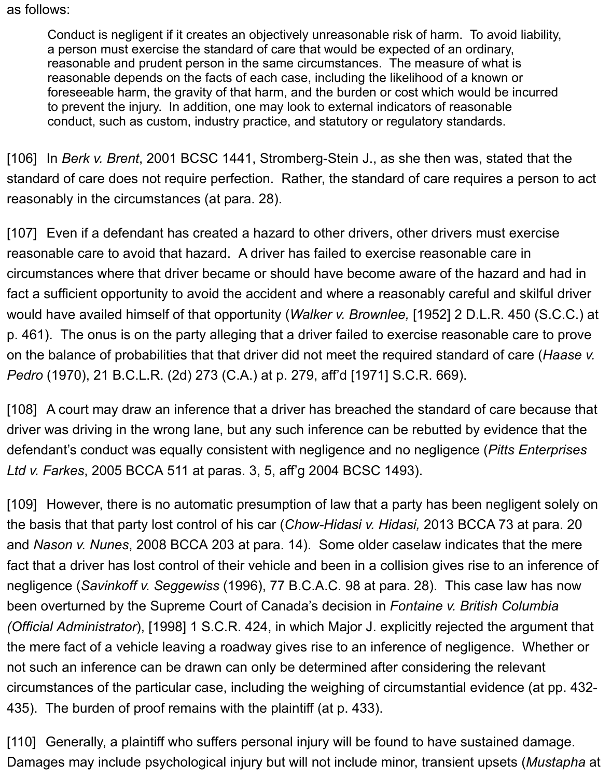#### as follows:

Conduct is negligent if it creates an objectively unreasonable risk of harm. To avoid liability, a person must exercise the standard of care that would be expected of an ordinary, reasonable and prudent person in the same circumstances. The measure of what is reasonable depends on the facts of each case, including the likelihood of a known or foreseeable harm, the gravity of that harm, and the burden or cost which would be incurred to prevent the injury. In addition, one may look to external indicators of reasonable conduct, such as custom, industry practice, and statutory or regulatory standards.

[106] In *Berk v. Brent*, 2001 BCSC 1441, Stromberg-Stein J., as she then was, stated that the standard of care does not require perfection. Rather, the standard of care requires a person to act reasonably in the circumstances (at para. 28).

[107] Even if a defendant has created a hazard to other drivers, other drivers must exercise reasonable care to avoid that hazard. A driver has failed to exercise reasonable care in circumstances where that driver became or should have become aware of the hazard and had in fact a sufficient opportunity to avoid the accident and where a reasonably careful and skilful driver would have availed himself of that opportunity (*Walker v. Brownlee,* [1952] 2 D.L.R. 450 (S.C.C.) at p. 461). The onus is on the party alleging that a driver failed to exercise reasonable care to prove on the balance of probabilities that that driver did not meet the required standard of care (*Haase v. Pedro* (1970), 21 B.C.L.R. (2d) 273 (C.A.) at p. 279, aff'd [1971] S.C.R. 669).

[108] A court may draw an inference that a driver has breached the standard of care because that driver was driving in the wrong lane, but any such inference can be rebutted by evidence that the defendant's conduct was equally consistent with negligence and no negligence (*Pitts Enterprises Ltd v. Farkes*, 2005 BCCA 511 at paras. 3, 5, aff'g 2004 BCSC 1493).

[109] However, there is no automatic presumption of law that a party has been negligent solely on the basis that that party lost control of his car (*Chow-Hidasi v. Hidasi,* 2013 BCCA 73 at para. 20 and *Nason v. Nunes*, 2008 BCCA 203 at para. 14). Some older caselaw indicates that the mere fact that a driver has lost control of their vehicle and been in a collision gives rise to an inference of negligence (*Savinkoff v. Seggewiss* (1996), 77 B.C.A.C. 98 at para. 28). This case law has now been overturned by the Supreme Court of Canada's decision in *Fontaine v. British Columbia (Official Administrator*), [1998] 1 S.C.R. 424, in which Major J. explicitly rejected the argument that the mere fact of a vehicle leaving a roadway gives rise to an inference of negligence. Whether or not such an inference can be drawn can only be determined after considering the relevant circumstances of the particular case, including the weighing of circumstantial evidence (at pp. 432- 435). The burden of proof remains with the plaintiff (at p. 433).

[110] Generally, a plaintiff who suffers personal injury will be found to have sustained damage. Damages may include psychological injury but will not include minor, transient upsets (*Mustapha* at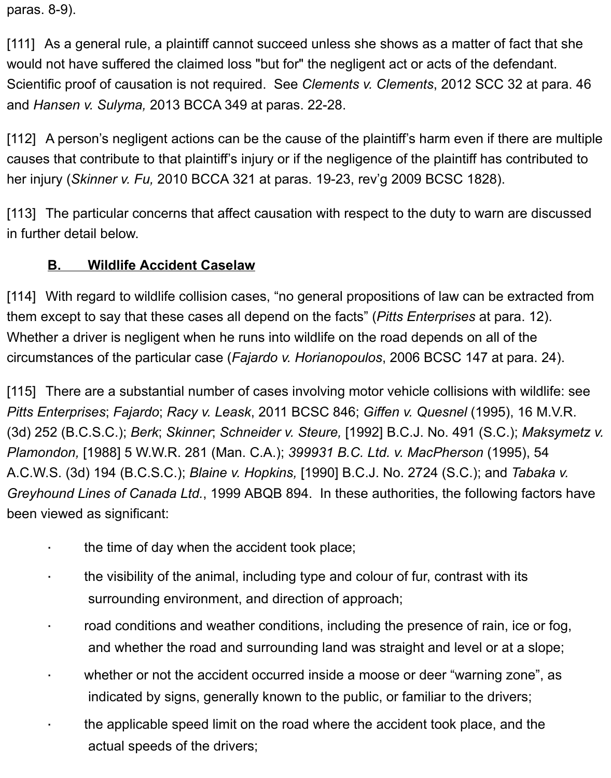paras. 8-9).

[111] As a general rule, a plaintiff cannot succeed unless she shows as a matter of fact that she would not have suffered the claimed loss "but for" the negligent act or acts of the defendant. Scientific proof of causation is not required. See *Clements v. Clements*, 2012 SCC 32 at para. 46 and *Hansen v. Sulyma,* 2013 BCCA 349 at paras. 22-28.

[112] A person's negligent actions can be the cause of the plaintiff's harm even if there are multiple causes that contribute to that plaintiff's injury or if the negligence of the plaintiff has contributed to her injury (*Skinner v. Fu,* 2010 BCCA 321 at paras. 19-23, rev'g 2009 BCSC 1828).

[113] The particular concerns that affect causation with respect to the duty to warn are discussed in further detail below.

#### <span id="page-19-0"></span>**B. Wildlife Accident Caselaw**

[114] With regard to wildlife collision cases, "no general propositions of law can be extracted from them except to say that these cases all depend on the facts" (*Pitts Enterprises* at para. 12). Whether a driver is negligent when he runs into wildlife on the road depends on all of the circumstances of the particular case (*Fajardo v. Horianopoulos*, 2006 BCSC 147 at para. 24).

[115] There are a substantial number of cases involving motor vehicle collisions with wildlife: see *Pitts Enterprises*; *Fajardo*; *Racy v. Leask*, 2011 BCSC 846; *Giffen v. Quesnel* (1995), 16 M.V.R. (3d) 252 (B.C.S.C.); *Berk*; *Skinner*; *Schneider v. Steure,* [1992] B.C.J. No. 491 (S.C.); *Maksymetz v. Plamondon,* [1988] 5 W.W.R. 281 (Man. C.A.); *399931 B.C. Ltd. v. MacPherson* (1995), 54 A.C.W.S. (3d) 194 (B.C.S.C.); *Blaine v. Hopkins,* [1990] B.C.J. No. 2724 (S.C.); and *Tabaka v. Greyhound Lines of Canada Ltd.*, 1999 ABQB 894. In these authorities, the following factors have been viewed as significant:

- · the time of day when the accident took place;
- · the visibility of the animal, including type and colour of fur, contrast with its surrounding environment, and direction of approach;
- road conditions and weather conditions, including the presence of rain, ice or fog, and whether the road and surrounding land was straight and level or at a slope;
- whether or not the accident occurred inside a moose or deer "warning zone", as indicated by signs, generally known to the public, or familiar to the drivers;
- · the applicable speed limit on the road where the accident took place, and the actual speeds of the drivers;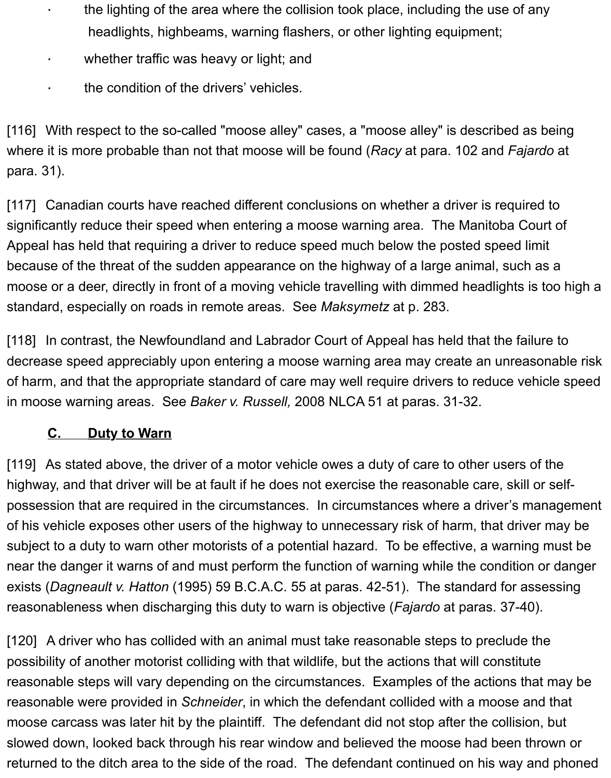- · the lighting of the area where the collision took place, including the use of any headlights, highbeams, warning flashers, or other lighting equipment;
- · whether traffic was heavy or light; and
- · the condition of the drivers' vehicles.

[116] With respect to the so-called "moose alley" cases, a "moose alley" is described as being where it is more probable than not that moose will be found (*Racy* at para. 102 and *Fajardo* at para. 31).

[117] Canadian courts have reached different conclusions on whether a driver is required to significantly reduce their speed when entering a moose warning area. The Manitoba Court of Appeal has held that requiring a driver to reduce speed much below the posted speed limit because of the threat of the sudden appearance on the highway of a large animal, such as a moose or a deer, directly in front of a moving vehicle travelling with dimmed headlights is too high a standard, especially on roads in remote areas. See *Maksymetz* at p. 283.

[118] In contrast, the Newfoundland and Labrador Court of Appeal has held that the failure to decrease speed appreciably upon entering a moose warning area may create an unreasonable risk of harm, and that the appropriate standard of care may well require drivers to reduce vehicle speed in moose warning areas. See *Baker v. Russell,* 2008 NLCA 51 at paras. 31-32.

# <span id="page-20-0"></span>**C. Duty to Warn**

[119] As stated above, the driver of a motor vehicle owes a duty of care to other users of the highway, and that driver will be at fault if he does not exercise the reasonable care, skill or selfpossession that are required in the circumstances. In circumstances where a driver's management of his vehicle exposes other users of the highway to unnecessary risk of harm, that driver may be subject to a duty to warn other motorists of a potential hazard. To be effective, a warning must be near the danger it warns of and must perform the function of warning while the condition or danger exists (*Dagneault v. Hatton* (1995) 59 B.C.A.C. 55 at paras. 42-51). The standard for assessing reasonableness when discharging this duty to warn is objective (*Fajardo* at paras. 37-40).

[120] A driver who has collided with an animal must take reasonable steps to preclude the possibility of another motorist colliding with that wildlife, but the actions that will constitute reasonable steps will vary depending on the circumstances. Examples of the actions that may be reasonable were provided in *Schneider*, in which the defendant collided with a moose and that moose carcass was later hit by the plaintiff. The defendant did not stop after the collision, but slowed down, looked back through his rear window and believed the moose had been thrown or returned to the ditch area to the side of the road. The defendant continued on his way and phoned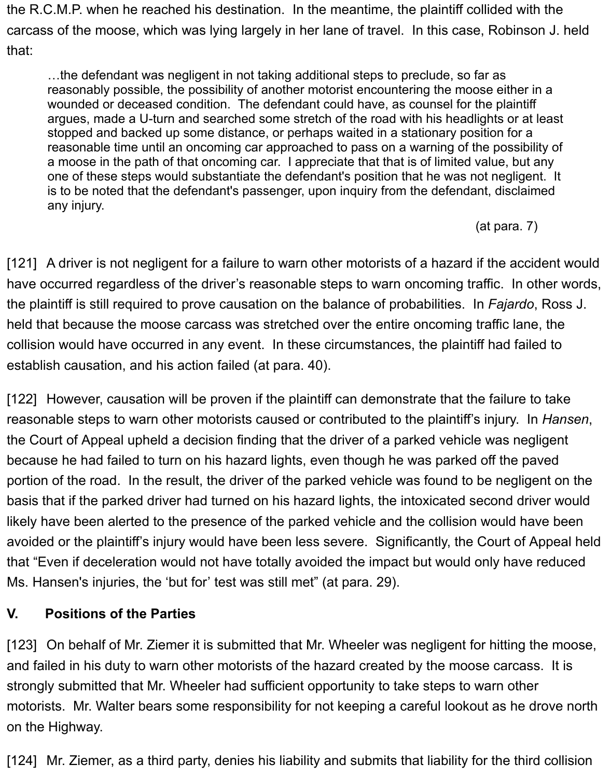the R.C.M.P. when he reached his destination. In the meantime, the plaintiff collided with the carcass of the moose, which was lying largely in her lane of travel. In this case, Robinson J. held that:

…the defendant was negligent in not taking additional steps to preclude, so far as reasonably possible, the possibility of another motorist encountering the moose either in a wounded or deceased condition. The defendant could have, as counsel for the plaintiff argues, made a U-turn and searched some stretch of the road with his headlights or at least stopped and backed up some distance, or perhaps waited in a stationary position for a reasonable time until an oncoming car approached to pass on a warning of the possibility of a moose in the path of that oncoming car. I appreciate that that is of limited value, but any one of these steps would substantiate the defendant's position that he was not negligent. It is to be noted that the defendant's passenger, upon inquiry from the defendant, disclaimed any injury.

(at para. 7)

[121] A driver is not negligent for a failure to warn other motorists of a hazard if the accident would have occurred regardless of the driver's reasonable steps to warn oncoming traffic. In other words, the plaintiff is still required to prove causation on the balance of probabilities. In *Fajardo*, Ross J. held that because the moose carcass was stretched over the entire oncoming traffic lane, the collision would have occurred in any event. In these circumstances, the plaintiff had failed to establish causation, and his action failed (at para. 40).

[122] However, causation will be proven if the plaintiff can demonstrate that the failure to take reasonable steps to warn other motorists caused or contributed to the plaintiff's injury. In *Hansen*, the Court of Appeal upheld a decision finding that the driver of a parked vehicle was negligent because he had failed to turn on his hazard lights, even though he was parked off the paved portion of the road. In the result, the driver of the parked vehicle was found to be negligent on the basis that if the parked driver had turned on his hazard lights, the intoxicated second driver would likely have been alerted to the presence of the parked vehicle and the collision would have been avoided or the plaintiff's injury would have been less severe. Significantly, the Court of Appeal held that "Even if deceleration would not have totally avoided the impact but would only have reduced Ms. Hansen's injuries, the 'but for' test was still met" (at para. 29).

# <span id="page-21-0"></span>**V. Positions of the Parties**

[123] On behalf of Mr. Ziemer it is submitted that Mr. Wheeler was negligent for hitting the moose, and failed in his duty to warn other motorists of the hazard created by the moose carcass. It is strongly submitted that Mr. Wheeler had sufficient opportunity to take steps to warn other motorists. Mr. Walter bears some responsibility for not keeping a careful lookout as he drove north on the Highway.

[124] Mr. Ziemer, as a third party, denies his liability and submits that liability for the third collision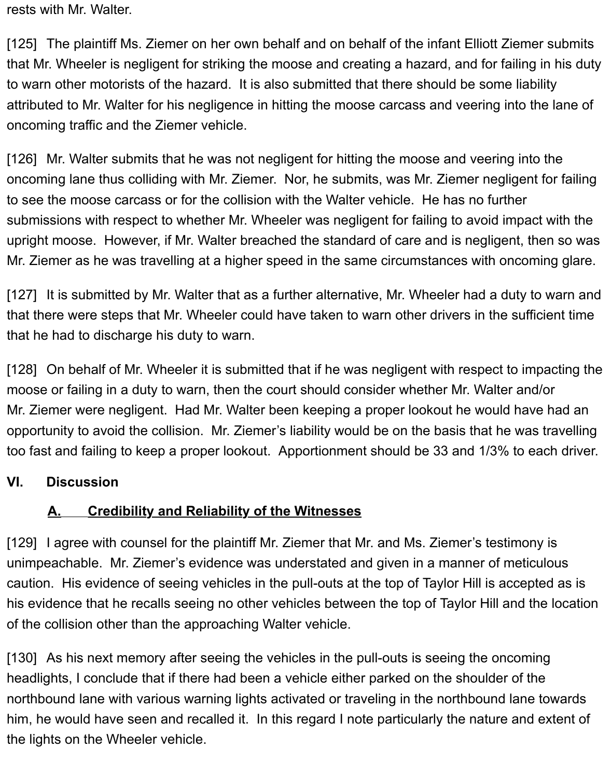rests with Mr. Walter.

[125] The plaintiff Ms. Ziemer on her own behalf and on behalf of the infant Elliott Ziemer submits that Mr. Wheeler is negligent for striking the moose and creating a hazard, and for failing in his duty to warn other motorists of the hazard. It is also submitted that there should be some liability attributed to Mr. Walter for his negligence in hitting the moose carcass and veering into the lane of oncoming traffic and the Ziemer vehicle.

[126] Mr. Walter submits that he was not negligent for hitting the moose and veering into the oncoming lane thus colliding with Mr. Ziemer. Nor, he submits, was Mr. Ziemer negligent for failing to see the moose carcass or for the collision with the Walter vehicle. He has no further submissions with respect to whether Mr. Wheeler was negligent for failing to avoid impact with the upright moose. However, if Mr. Walter breached the standard of care and is negligent, then so was Mr. Ziemer as he was travelling at a higher speed in the same circumstances with oncoming glare.

[127] It is submitted by Mr. Walter that as a further alternative, Mr. Wheeler had a duty to warn and that there were steps that Mr. Wheeler could have taken to warn other drivers in the sufficient time that he had to discharge his duty to warn.

[128] On behalf of Mr. Wheeler it is submitted that if he was negligent with respect to impacting the moose or failing in a duty to warn, then the court should consider whether Mr. Walter and/or Mr. Ziemer were negligent. Had Mr. Walter been keeping a proper lookout he would have had an opportunity to avoid the collision. Mr. Ziemer's liability would be on the basis that he was travelling too fast and failing to keep a proper lookout. Apportionment should be 33 and 1/3% to each driver.

#### <span id="page-22-0"></span>**VI. Discussion**

# <span id="page-22-1"></span>**A. Credibility and Reliability of the Witnesses**

[129] I agree with counsel for the plaintiff Mr. Ziemer that Mr. and Ms. Ziemer's testimony is unimpeachable. Mr. Ziemer's evidence was understated and given in a manner of meticulous caution. His evidence of seeing vehicles in the pull-outs at the top of Taylor Hill is accepted as is his evidence that he recalls seeing no other vehicles between the top of Taylor Hill and the location of the collision other than the approaching Walter vehicle.

[130] As his next memory after seeing the vehicles in the pull-outs is seeing the oncoming headlights, I conclude that if there had been a vehicle either parked on the shoulder of the northbound lane with various warning lights activated or traveling in the northbound lane towards him, he would have seen and recalled it. In this regard I note particularly the nature and extent of the lights on the Wheeler vehicle.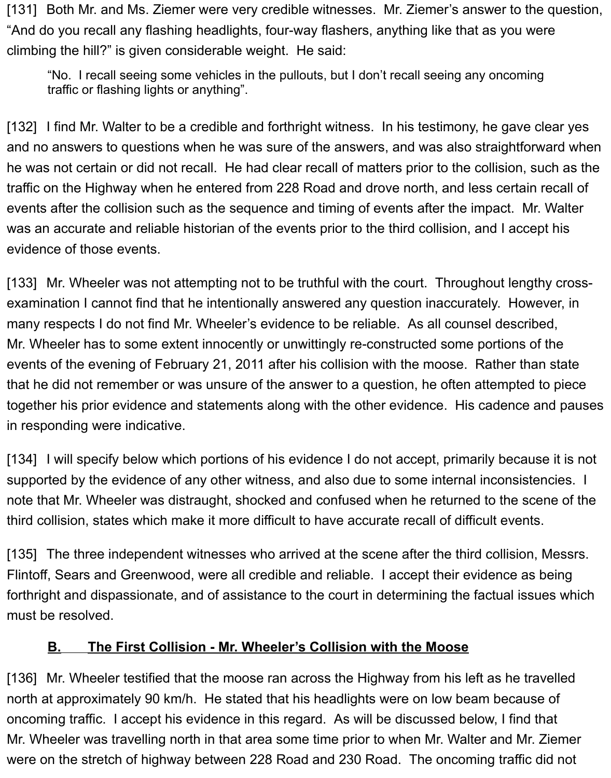[131] Both Mr. and Ms. Ziemer were very credible witnesses. Mr. Ziemer's answer to the question, "And do you recall any flashing headlights, four-way flashers, anything like that as you were climbing the hill?" is given considerable weight. He said:

"No. I recall seeing some vehicles in the pullouts, but I don't recall seeing any oncoming traffic or flashing lights or anything".

[132] I find Mr. Walter to be a credible and forthright witness. In his testimony, he gave clear yes and no answers to questions when he was sure of the answers, and was also straightforward when he was not certain or did not recall. He had clear recall of matters prior to the collision, such as the traffic on the Highway when he entered from 228 Road and drove north, and less certain recall of events after the collision such as the sequence and timing of events after the impact. Mr. Walter was an accurate and reliable historian of the events prior to the third collision, and I accept his evidence of those events.

[133] Mr. Wheeler was not attempting not to be truthful with the court. Throughout lengthy crossexamination I cannot find that he intentionally answered any question inaccurately. However, in many respects I do not find Mr. Wheeler's evidence to be reliable. As all counsel described, Mr. Wheeler has to some extent innocently or unwittingly re-constructed some portions of the events of the evening of February 21, 2011 after his collision with the moose. Rather than state that he did not remember or was unsure of the answer to a question, he often attempted to piece together his prior evidence and statements along with the other evidence. His cadence and pauses in responding were indicative.

[134] I will specify below which portions of his evidence I do not accept, primarily because it is not supported by the evidence of any other witness, and also due to some internal inconsistencies. I note that Mr. Wheeler was distraught, shocked and confused when he returned to the scene of the third collision, states which make it more difficult to have accurate recall of difficult events.

[135] The three independent witnesses who arrived at the scene after the third collision, Messrs. Flintoff, Sears and Greenwood, were all credible and reliable. I accept their evidence as being forthright and dispassionate, and of assistance to the court in determining the factual issues which must be resolved.

#### <span id="page-23-0"></span>**B. The First Collision - Mr. Wheeler's Collision with the Moose**

[136] Mr. Wheeler testified that the moose ran across the Highway from his left as he travelled north at approximately 90 km/h. He stated that his headlights were on low beam because of oncoming traffic. I accept his evidence in this regard. As will be discussed below, I find that Mr. Wheeler was travelling north in that area some time prior to when Mr. Walter and Mr. Ziemer were on the stretch of highway between 228 Road and 230 Road. The oncoming traffic did not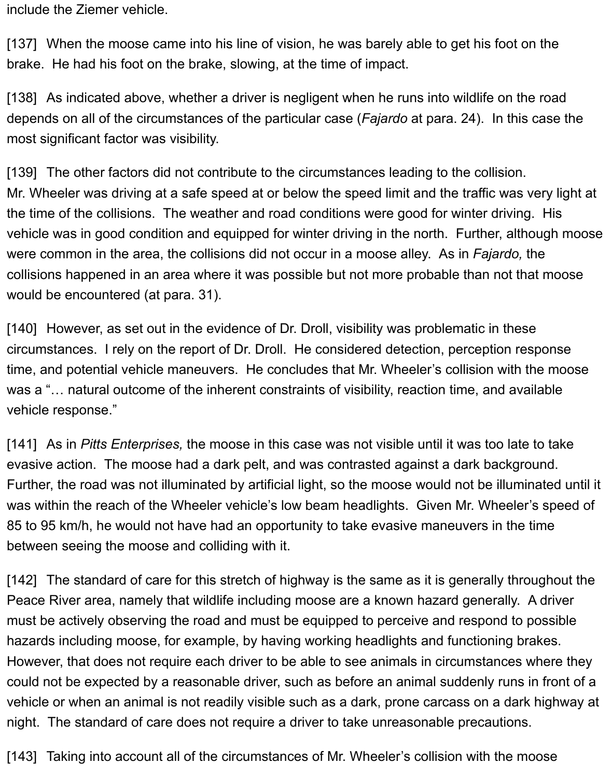include the Ziemer vehicle.

[137] When the moose came into his line of vision, he was barely able to get his foot on the brake. He had his foot on the brake, slowing, at the time of impact.

[138] As indicated above, whether a driver is negligent when he runs into wildlife on the road depends on all of the circumstances of the particular case (*Fajardo* at para. 24). In this case the most significant factor was visibility.

[139] The other factors did not contribute to the circumstances leading to the collision. Mr. Wheeler was driving at a safe speed at or below the speed limit and the traffic was very light at the time of the collisions. The weather and road conditions were good for winter driving. His vehicle was in good condition and equipped for winter driving in the north. Further, although moose were common in the area, the collisions did not occur in a moose alley. As in *Fajardo,* the collisions happened in an area where it was possible but not more probable than not that moose would be encountered (at para. 31).

[140] However, as set out in the evidence of Dr. Droll, visibility was problematic in these circumstances. I rely on the report of Dr. Droll. He considered detection, perception response time, and potential vehicle maneuvers. He concludes that Mr. Wheeler's collision with the moose was a "... natural outcome of the inherent constraints of visibility, reaction time, and available vehicle response."

[141] As in *Pitts Enterprises,* the moose in this case was not visible until it was too late to take evasive action. The moose had a dark pelt, and was contrasted against a dark background. Further, the road was not illuminated by artificial light, so the moose would not be illuminated until it was within the reach of the Wheeler vehicle's low beam headlights. Given Mr. Wheeler's speed of 85 to 95 km/h, he would not have had an opportunity to take evasive maneuvers in the time between seeing the moose and colliding with it.

[142] The standard of care for this stretch of highway is the same as it is generally throughout the Peace River area, namely that wildlife including moose are a known hazard generally. A driver must be actively observing the road and must be equipped to perceive and respond to possible hazards including moose, for example, by having working headlights and functioning brakes. However, that does not require each driver to be able to see animals in circumstances where they could not be expected by a reasonable driver, such as before an animal suddenly runs in front of a vehicle or when an animal is not readily visible such as a dark, prone carcass on a dark highway at night. The standard of care does not require a driver to take unreasonable precautions.

[143] Taking into account all of the circumstances of Mr. Wheeler's collision with the moose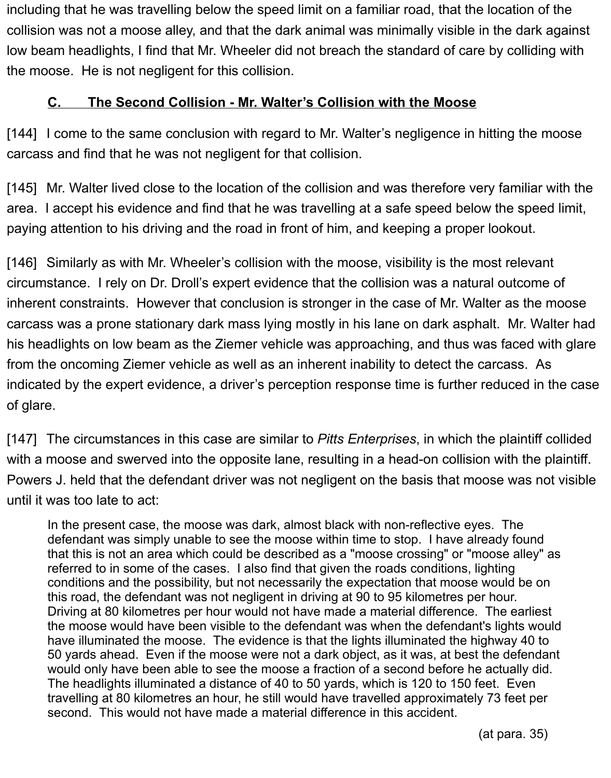including that he was travelling below the speed limit on a familiar road, that the location of the collision was not a moose alley, and that the dark animal was minimally visible in the dark against low beam headlights, I find that Mr. Wheeler did not breach the standard of care by colliding with the moose. He is not negligent for this collision.

#### <span id="page-25-0"></span>**C. The Second Collision - Mr. Walter's Collision with the Moose**

[144] I come to the same conclusion with regard to Mr. Walter's negligence in hitting the moose carcass and find that he was not negligent for that collision.

[145] Mr. Walter lived close to the location of the collision and was therefore very familiar with the area. I accept his evidence and find that he was travelling at a safe speed below the speed limit, paying attention to his driving and the road in front of him, and keeping a proper lookout.

[146] Similarly as with Mr. Wheeler's collision with the moose, visibility is the most relevant circumstance. I rely on Dr. Droll's expert evidence that the collision was a natural outcome of inherent constraints. However that conclusion is stronger in the case of Mr. Walter as the moose carcass was a prone stationary dark mass lying mostly in his lane on dark asphalt. Mr. Walter had his headlights on low beam as the Ziemer vehicle was approaching, and thus was faced with glare from the oncoming Ziemer vehicle as well as an inherent inability to detect the carcass. As indicated by the expert evidence, a driver's perception response time is further reduced in the case of glare.

[147] The circumstances in this case are similar to *Pitts Enterprises*, in which the plaintiff collided with a moose and swerved into the opposite lane, resulting in a head-on collision with the plaintiff. Powers J. held that the defendant driver was not negligent on the basis that moose was not visible until it was too late to act:

In the present case, the moose was dark, almost black with non-reflective eyes. The defendant was simply unable to see the moose within time to stop. I have already found that this is not an area which could be described as a "moose crossing" or "moose alley" as referred to in some of the cases. I also find that given the roads conditions, lighting conditions and the possibility, but not necessarily the expectation that moose would be on this road, the defendant was not negligent in driving at 90 to 95 kilometres per hour. Driving at 80 kilometres per hour would not have made a material difference. The earliest the moose would have been visible to the defendant was when the defendant's lights would have illuminated the moose. The evidence is that the lights illuminated the highway 40 to 50 yards ahead. Even if the moose were not a dark object, as it was, at best the defendant would only have been able to see the moose a fraction of a second before he actually did. The headlights illuminated a distance of 40 to 50 yards, which is 120 to 150 feet. Even travelling at 80 kilometres an hour, he still would have travelled approximately 73 feet per second. This would not have made a material difference in this accident.

(at para. 35)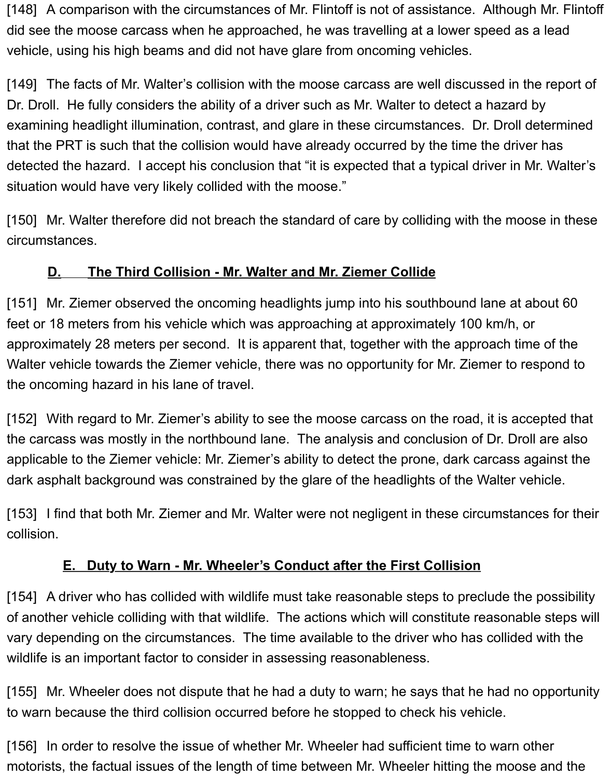[148] A comparison with the circumstances of Mr. Flintoff is not of assistance. Although Mr. Flintoff did see the moose carcass when he approached, he was travelling at a lower speed as a lead vehicle, using his high beams and did not have glare from oncoming vehicles.

[149] The facts of Mr. Walter's collision with the moose carcass are well discussed in the report of Dr. Droll. He fully considers the ability of a driver such as Mr. Walter to detect a hazard by examining headlight illumination, contrast, and glare in these circumstances. Dr. Droll determined that the PRT is such that the collision would have already occurred by the time the driver has detected the hazard. I accept his conclusion that "it is expected that a typical driver in Mr. Walter's situation would have very likely collided with the moose."

[150] Mr. Walter therefore did not breach the standard of care by colliding with the moose in these circumstances.

## <span id="page-26-0"></span>**D. The Third Collision - Mr. Walter and Mr. Ziemer Collide**

[151] Mr. Ziemer observed the oncoming headlights jump into his southbound lane at about 60 feet or 18 meters from his vehicle which was approaching at approximately 100 km/h, or approximately 28 meters per second. It is apparent that, together with the approach time of the Walter vehicle towards the Ziemer vehicle, there was no opportunity for Mr. Ziemer to respond to the oncoming hazard in his lane of travel.

[152] With regard to Mr. Ziemer's ability to see the moose carcass on the road, it is accepted that the carcass was mostly in the northbound lane. The analysis and conclusion of Dr. Droll are also applicable to the Ziemer vehicle: Mr. Ziemer's ability to detect the prone, dark carcass against the dark asphalt background was constrained by the glare of the headlights of the Walter vehicle.

[153] I find that both Mr. Ziemer and Mr. Walter were not negligent in these circumstances for their collision.

# <span id="page-26-1"></span>**E. Duty to Warn - Mr. Wheeler's Conduct after the First Collision**

[154] A driver who has collided with wildlife must take reasonable steps to preclude the possibility of another vehicle colliding with that wildlife. The actions which will constitute reasonable steps will vary depending on the circumstances. The time available to the driver who has collided with the wildlife is an important factor to consider in assessing reasonableness.

[155] Mr. Wheeler does not dispute that he had a duty to warn; he says that he had no opportunity to warn because the third collision occurred before he stopped to check his vehicle.

[156] In order to resolve the issue of whether Mr. Wheeler had sufficient time to warn other motorists, the factual issues of the length of time between Mr. Wheeler hitting the moose and the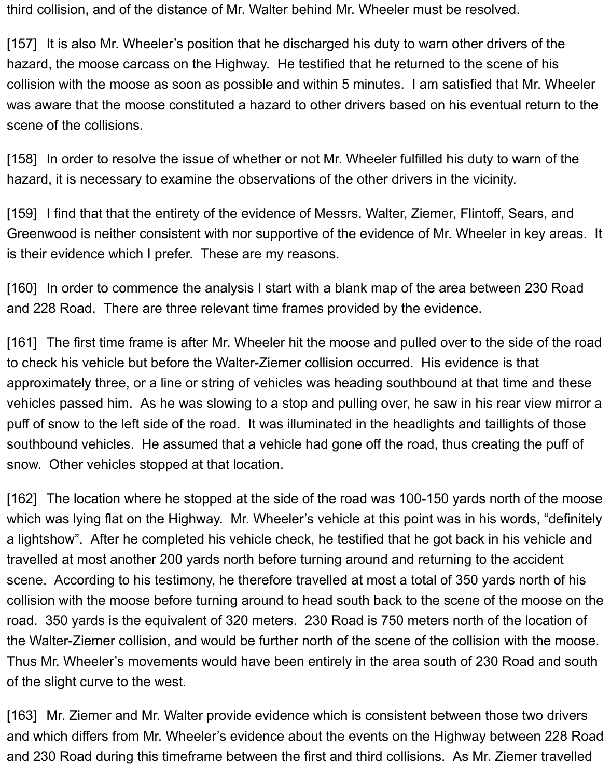third collision, and of the distance of Mr. Walter behind Mr. Wheeler must be resolved.

[157] It is also Mr. Wheeler's position that he discharged his duty to warn other drivers of the hazard, the moose carcass on the Highway. He testified that he returned to the scene of his collision with the moose as soon as possible and within 5 minutes. I am satisfied that Mr. Wheeler was aware that the moose constituted a hazard to other drivers based on his eventual return to the scene of the collisions.

[158] In order to resolve the issue of whether or not Mr. Wheeler fulfilled his duty to warn of the hazard, it is necessary to examine the observations of the other drivers in the vicinity.

[159] I find that that the entirety of the evidence of Messrs. Walter, Ziemer, Flintoff, Sears, and Greenwood is neither consistent with nor supportive of the evidence of Mr. Wheeler in key areas. It is their evidence which I prefer. These are my reasons.

[160] In order to commence the analysis I start with a blank map of the area between 230 Road and 228 Road. There are three relevant time frames provided by the evidence.

[161] The first time frame is after Mr. Wheeler hit the moose and pulled over to the side of the road to check his vehicle but before the Walter-Ziemer collision occurred. His evidence is that approximately three, or a line or string of vehicles was heading southbound at that time and these vehicles passed him. As he was slowing to a stop and pulling over, he saw in his rear view mirror a puff of snow to the left side of the road. It was illuminated in the headlights and taillights of those southbound vehicles. He assumed that a vehicle had gone off the road, thus creating the puff of snow. Other vehicles stopped at that location.

[162] The location where he stopped at the side of the road was 100-150 yards north of the moose which was lying flat on the Highway. Mr. Wheeler's vehicle at this point was in his words, "definitely a lightshow". After he completed his vehicle check, he testified that he got back in his vehicle and travelled at most another 200 yards north before turning around and returning to the accident scene. According to his testimony, he therefore travelled at most a total of 350 yards north of his collision with the moose before turning around to head south back to the scene of the moose on the road. 350 yards is the equivalent of 320 meters. 230 Road is 750 meters north of the location of the Walter-Ziemer collision, and would be further north of the scene of the collision with the moose. Thus Mr. Wheeler's movements would have been entirely in the area south of 230 Road and south of the slight curve to the west.

[163] Mr. Ziemer and Mr. Walter provide evidence which is consistent between those two drivers and which differs from Mr. Wheeler's evidence about the events on the Highway between 228 Road and 230 Road during this timeframe between the first and third collisions. As Mr. Ziemer travelled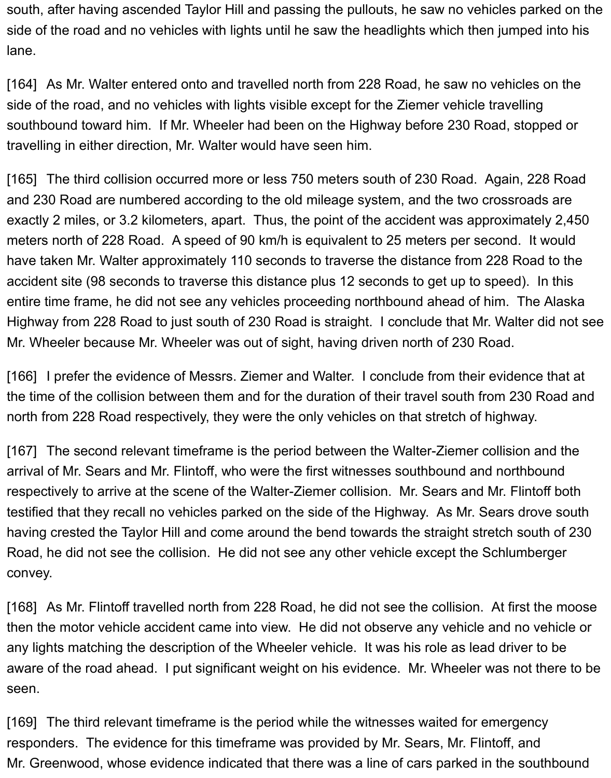south, after having ascended Taylor Hill and passing the pullouts, he saw no vehicles parked on the side of the road and no vehicles with lights until he saw the headlights which then jumped into his lane.

[164] As Mr. Walter entered onto and travelled north from 228 Road, he saw no vehicles on the side of the road, and no vehicles with lights visible except for the Ziemer vehicle travelling southbound toward him. If Mr. Wheeler had been on the Highway before 230 Road, stopped or travelling in either direction, Mr. Walter would have seen him.

[165] The third collision occurred more or less 750 meters south of 230 Road. Again, 228 Road and 230 Road are numbered according to the old mileage system, and the two crossroads are exactly 2 miles, or 3.2 kilometers, apart. Thus, the point of the accident was approximately 2,450 meters north of 228 Road. A speed of 90 km/h is equivalent to 25 meters per second. It would have taken Mr. Walter approximately 110 seconds to traverse the distance from 228 Road to the accident site (98 seconds to traverse this distance plus 12 seconds to get up to speed). In this entire time frame, he did not see any vehicles proceeding northbound ahead of him. The Alaska Highway from 228 Road to just south of 230 Road is straight. I conclude that Mr. Walter did not see Mr. Wheeler because Mr. Wheeler was out of sight, having driven north of 230 Road.

[166] I prefer the evidence of Messrs. Ziemer and Walter. I conclude from their evidence that at the time of the collision between them and for the duration of their travel south from 230 Road and north from 228 Road respectively, they were the only vehicles on that stretch of highway.

[167] The second relevant timeframe is the period between the Walter-Ziemer collision and the arrival of Mr. Sears and Mr. Flintoff, who were the first witnesses southbound and northbound respectively to arrive at the scene of the Walter-Ziemer collision. Mr. Sears and Mr. Flintoff both testified that they recall no vehicles parked on the side of the Highway. As Mr. Sears drove south having crested the Taylor Hill and come around the bend towards the straight stretch south of 230 Road, he did not see the collision. He did not see any other vehicle except the Schlumberger convey.

[168] As Mr. Flintoff travelled north from 228 Road, he did not see the collision. At first the moose then the motor vehicle accident came into view. He did not observe any vehicle and no vehicle or any lights matching the description of the Wheeler vehicle. It was his role as lead driver to be aware of the road ahead. I put significant weight on his evidence. Mr. Wheeler was not there to be seen.

[169] The third relevant timeframe is the period while the witnesses waited for emergency responders. The evidence for this timeframe was provided by Mr. Sears, Mr. Flintoff, and Mr. Greenwood, whose evidence indicated that there was a line of cars parked in the southbound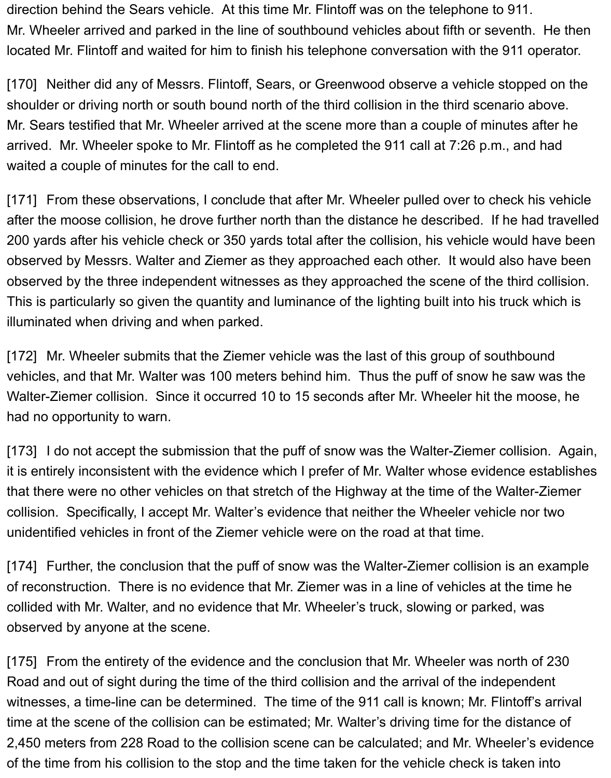direction behind the Sears vehicle. At this time Mr. Flintoff was on the telephone to 911. Mr. Wheeler arrived and parked in the line of southbound vehicles about fifth or seventh. He then located Mr. Flintoff and waited for him to finish his telephone conversation with the 911 operator.

[170] Neither did any of Messrs. Flintoff, Sears, or Greenwood observe a vehicle stopped on the shoulder or driving north or south bound north of the third collision in the third scenario above. Mr. Sears testified that Mr. Wheeler arrived at the scene more than a couple of minutes after he arrived. Mr. Wheeler spoke to Mr. Flintoff as he completed the 911 call at 7:26 p.m., and had waited a couple of minutes for the call to end.

[171] From these observations, I conclude that after Mr. Wheeler pulled over to check his vehicle after the moose collision, he drove further north than the distance he described. If he had travelled 200 yards after his vehicle check or 350 yards total after the collision, his vehicle would have been observed by Messrs. Walter and Ziemer as they approached each other. It would also have been observed by the three independent witnesses as they approached the scene of the third collision. This is particularly so given the quantity and luminance of the lighting built into his truck which is illuminated when driving and when parked.

[172] Mr. Wheeler submits that the Ziemer vehicle was the last of this group of southbound vehicles, and that Mr. Walter was 100 meters behind him. Thus the puff of snow he saw was the Walter-Ziemer collision. Since it occurred 10 to 15 seconds after Mr. Wheeler hit the moose, he had no opportunity to warn.

[173] I do not accept the submission that the puff of snow was the Walter-Ziemer collision. Again, it is entirely inconsistent with the evidence which I prefer of Mr. Walter whose evidence establishes that there were no other vehicles on that stretch of the Highway at the time of the Walter-Ziemer collision. Specifically, I accept Mr. Walter's evidence that neither the Wheeler vehicle nor two unidentified vehicles in front of the Ziemer vehicle were on the road at that time.

[174] Further, the conclusion that the puff of snow was the Walter-Ziemer collision is an example of reconstruction. There is no evidence that Mr. Ziemer was in a line of vehicles at the time he collided with Mr. Walter, and no evidence that Mr. Wheeler's truck, slowing or parked, was observed by anyone at the scene.

[175] From the entirety of the evidence and the conclusion that Mr. Wheeler was north of 230 Road and out of sight during the time of the third collision and the arrival of the independent witnesses, a time-line can be determined. The time of the 911 call is known; Mr. Flintoff's arrival time at the scene of the collision can be estimated; Mr. Walter's driving time for the distance of 2,450 meters from 228 Road to the collision scene can be calculated; and Mr. Wheeler's evidence of the time from his collision to the stop and the time taken for the vehicle check is taken into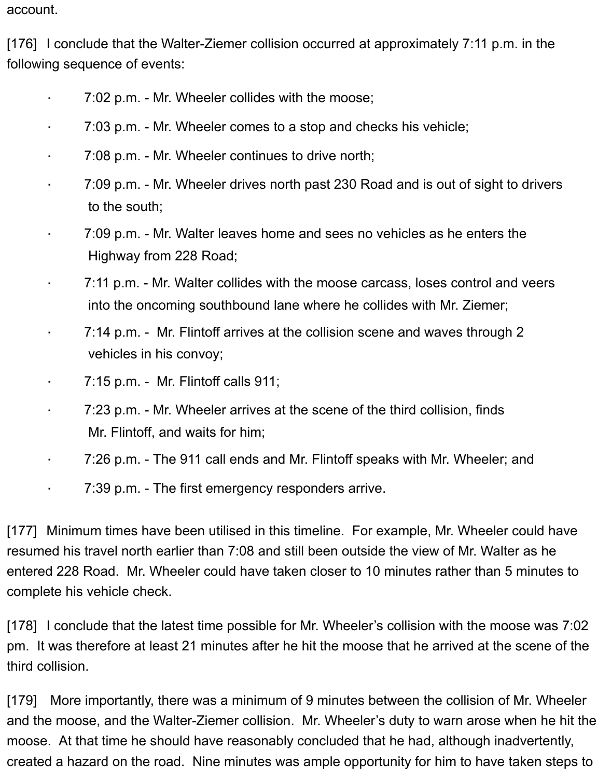account.

[176] I conclude that the Walter-Ziemer collision occurred at approximately 7:11 p.m. in the following sequence of events:

- · 7:02 p.m. Mr. Wheeler collides with the moose;
- · 7:03 p.m. Mr. Wheeler comes to a stop and checks his vehicle;
- 7:08 p.m. Mr. Wheeler continues to drive north;
- · 7:09 p.m. Mr. Wheeler drives north past 230 Road and is out of sight to drivers to the south;
- · 7:09 p.m. Mr. Walter leaves home and sees no vehicles as he enters the Highway from 228 Road;
- · 7:11 p.m. Mr. Walter collides with the moose carcass, loses control and veers into the oncoming southbound lane where he collides with Mr. Ziemer;
- 7:14 p.m. Mr. Flintoff arrives at the collision scene and waves through 2 vehicles in his convoy;
- · 7:15 p.m. Mr. Flintoff calls 911;
- · 7:23 p.m. Mr. Wheeler arrives at the scene of the third collision, finds Mr. Flintoff, and waits for him;
- · 7:26 p.m. The 911 call ends and Mr. Flintoff speaks with Mr. Wheeler; and
	- 7:39 p.m. The first emergency responders arrive.

[177] Minimum times have been utilised in this timeline. For example, Mr. Wheeler could have resumed his travel north earlier than 7:08 and still been outside the view of Mr. Walter as he entered 228 Road. Mr. Wheeler could have taken closer to 10 minutes rather than 5 minutes to complete his vehicle check.

[178] I conclude that the latest time possible for Mr. Wheeler's collision with the moose was 7:02 pm. It was therefore at least 21 minutes after he hit the moose that he arrived at the scene of the third collision.

[179] More importantly, there was a minimum of 9 minutes between the collision of Mr. Wheeler and the moose, and the Walter-Ziemer collision. Mr. Wheeler's duty to warn arose when he hit the moose. At that time he should have reasonably concluded that he had, although inadvertently, created a hazard on the road. Nine minutes was ample opportunity for him to have taken steps to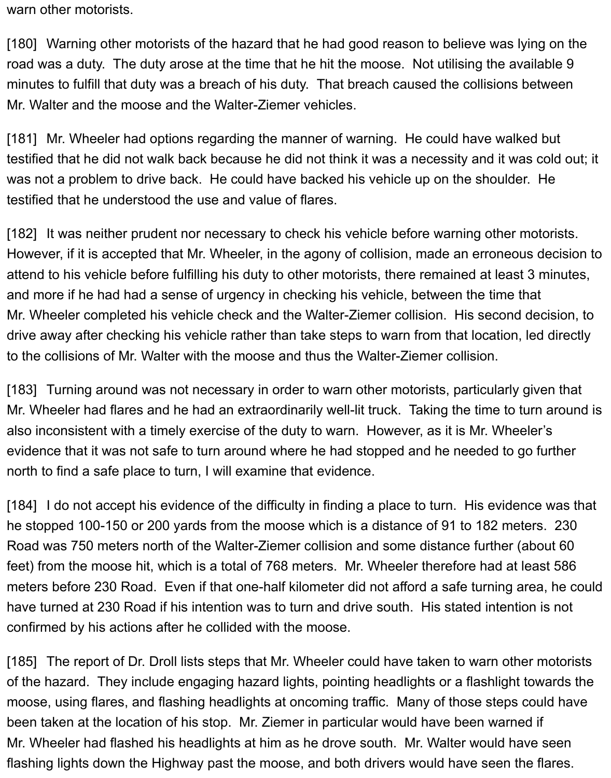warn other motorists.

[180] Warning other motorists of the hazard that he had good reason to believe was lying on the road was a duty. The duty arose at the time that he hit the moose. Not utilising the available 9 minutes to fulfill that duty was a breach of his duty. That breach caused the collisions between Mr. Walter and the moose and the Walter-Ziemer vehicles.

[181] Mr. Wheeler had options regarding the manner of warning. He could have walked but testified that he did not walk back because he did not think it was a necessity and it was cold out; it was not a problem to drive back. He could have backed his vehicle up on the shoulder. He testified that he understood the use and value of flares.

[182] It was neither prudent nor necessary to check his vehicle before warning other motorists. However, if it is accepted that Mr. Wheeler, in the agony of collision, made an erroneous decision to attend to his vehicle before fulfilling his duty to other motorists, there remained at least 3 minutes, and more if he had had a sense of urgency in checking his vehicle, between the time that Mr. Wheeler completed his vehicle check and the Walter-Ziemer collision. His second decision, to drive away after checking his vehicle rather than take steps to warn from that location, led directly to the collisions of Mr. Walter with the moose and thus the Walter-Ziemer collision.

[183] Turning around was not necessary in order to warn other motorists, particularly given that Mr. Wheeler had flares and he had an extraordinarily well-lit truck. Taking the time to turn around is also inconsistent with a timely exercise of the duty to warn. However, as it is Mr. Wheeler's evidence that it was not safe to turn around where he had stopped and he needed to go further north to find a safe place to turn, I will examine that evidence.

[184] I do not accept his evidence of the difficulty in finding a place to turn. His evidence was that he stopped 100-150 or 200 yards from the moose which is a distance of 91 to 182 meters. 230 Road was 750 meters north of the Walter-Ziemer collision and some distance further (about 60 feet) from the moose hit, which is a total of 768 meters. Mr. Wheeler therefore had at least 586 meters before 230 Road. Even if that one-half kilometer did not afford a safe turning area, he could have turned at 230 Road if his intention was to turn and drive south. His stated intention is not confirmed by his actions after he collided with the moose.

[185] The report of Dr. Droll lists steps that Mr. Wheeler could have taken to warn other motorists of the hazard. They include engaging hazard lights, pointing headlights or a flashlight towards the moose, using flares, and flashing headlights at oncoming traffic. Many of those steps could have been taken at the location of his stop. Mr. Ziemer in particular would have been warned if Mr. Wheeler had flashed his headlights at him as he drove south. Mr. Walter would have seen flashing lights down the Highway past the moose, and both drivers would have seen the flares.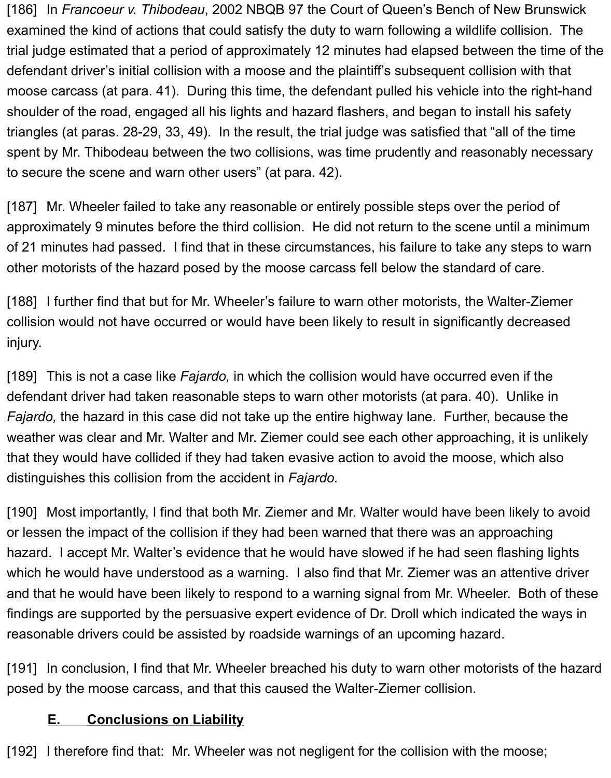[186] In *Francoeur v. Thibodeau*, 2002 NBQB 97 the Court of Queen's Bench of New Brunswick examined the kind of actions that could satisfy the duty to warn following a wildlife collision. The trial judge estimated that a period of approximately 12 minutes had elapsed between the time of the defendant driver's initial collision with a moose and the plaintiff's subsequent collision with that moose carcass (at para. 41). During this time, the defendant pulled his vehicle into the right-hand shoulder of the road, engaged all his lights and hazard flashers, and began to install his safety triangles (at paras. 28-29, 33, 49). In the result, the trial judge was satisfied that "all of the time spent by Mr. Thibodeau between the two collisions, was time prudently and reasonably necessary to secure the scene and warn other users" (at para. 42).

[187] Mr. Wheeler failed to take any reasonable or entirely possible steps over the period of approximately 9 minutes before the third collision. He did not return to the scene until a minimum of 21 minutes had passed. I find that in these circumstances, his failure to take any steps to warn other motorists of the hazard posed by the moose carcass fell below the standard of care.

[188] I further find that but for Mr. Wheeler's failure to warn other motorists, the Walter-Ziemer collision would not have occurred or would have been likely to result in significantly decreased injury.

[189] This is not a case like *Fajardo,* in which the collision would have occurred even if the defendant driver had taken reasonable steps to warn other motorists (at para. 40). Unlike in *Fajardo,* the hazard in this case did not take up the entire highway lane. Further, because the weather was clear and Mr. Walter and Mr. Ziemer could see each other approaching, it is unlikely that they would have collided if they had taken evasive action to avoid the moose, which also distinguishes this collision from the accident in *Fajardo.* 

[190] Most importantly, I find that both Mr. Ziemer and Mr. Walter would have been likely to avoid or lessen the impact of the collision if they had been warned that there was an approaching hazard. I accept Mr. Walter's evidence that he would have slowed if he had seen flashing lights which he would have understood as a warning. I also find that Mr. Ziemer was an attentive driver and that he would have been likely to respond to a warning signal from Mr. Wheeler. Both of these findings are supported by the persuasive expert evidence of Dr. Droll which indicated the ways in reasonable drivers could be assisted by roadside warnings of an upcoming hazard.

[191] In conclusion, I find that Mr. Wheeler breached his duty to warn other motorists of the hazard posed by the moose carcass, and that this caused the Walter-Ziemer collision.

#### <span id="page-32-0"></span>**E. Conclusions on Liability**

[192] I therefore find that: Mr. Wheeler was not negligent for the collision with the moose;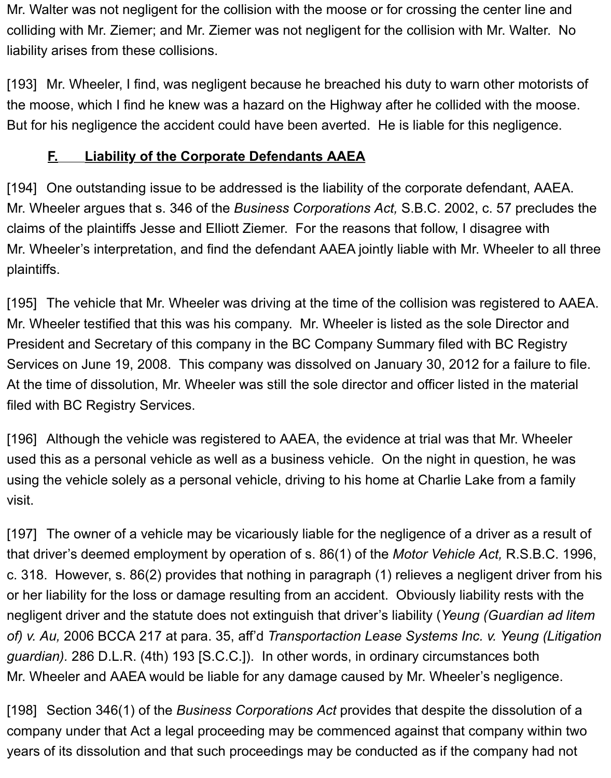Mr. Walter was not negligent for the collision with the moose or for crossing the center line and colliding with Mr. Ziemer; and Mr. Ziemer was not negligent for the collision with Mr. Walter. No liability arises from these collisions.

[193] Mr. Wheeler, I find, was negligent because he breached his duty to warn other motorists of the moose, which I find he knew was a hazard on the Highway after he collided with the moose. But for his negligence the accident could have been averted. He is liable for this negligence.

## **F. Liability of the Corporate Defendants AAEA**

[194] One outstanding issue to be addressed is the liability of the corporate defendant, AAEA. Mr. Wheeler argues that s. 346 of the *Business Corporations Act,* S.B.C. 2002, c. 57 precludes the claims of the plaintiffs Jesse and Elliott Ziemer. For the reasons that follow, I disagree with Mr. Wheeler's interpretation, and find the defendant AAEA jointly liable with Mr. Wheeler to all three plaintiffs.

[195] The vehicle that Mr. Wheeler was driving at the time of the collision was registered to AAEA. Mr. Wheeler testified that this was his company. Mr. Wheeler is listed as the sole Director and President and Secretary of this company in the BC Company Summary filed with BC Registry Services on June 19, 2008. This company was dissolved on January 30, 2012 for a failure to file. At the time of dissolution, Mr. Wheeler was still the sole director and officer listed in the material filed with BC Registry Services.

[196] Although the vehicle was registered to AAEA, the evidence at trial was that Mr. Wheeler used this as a personal vehicle as well as a business vehicle. On the night in question, he was using the vehicle solely as a personal vehicle, driving to his home at Charlie Lake from a family visit.

[197] The owner of a vehicle may be vicariously liable for the negligence of a driver as a result of that driver's deemed employment by operation of s. 86(1) of the *Motor Vehicle Act,* R.S.B.C. 1996, c. 318. However, s. 86(2) provides that nothing in paragraph (1) relieves a negligent driver from his or her liability for the loss or damage resulting from an accident. Obviously liability rests with the negligent driver and the statute does not extinguish that driver's liability (*Yeung (Guardian ad litem of) v. Au,* 2006 BCCA 217 at para. 35, aff'd *Transportaction Lease Systems Inc. v. Yeung (Litigation guardian).* 286 D.L.R. (4th) 193 [S.C.C.]). In other words, in ordinary circumstances both Mr. Wheeler and AAEA would be liable for any damage caused by Mr. Wheeler's negligence.

[198] Section 346(1) of the *Business Corporations Act* provides that despite the dissolution of a company under that Act a legal proceeding may be commenced against that company within two years of its dissolution and that such proceedings may be conducted as if the company had not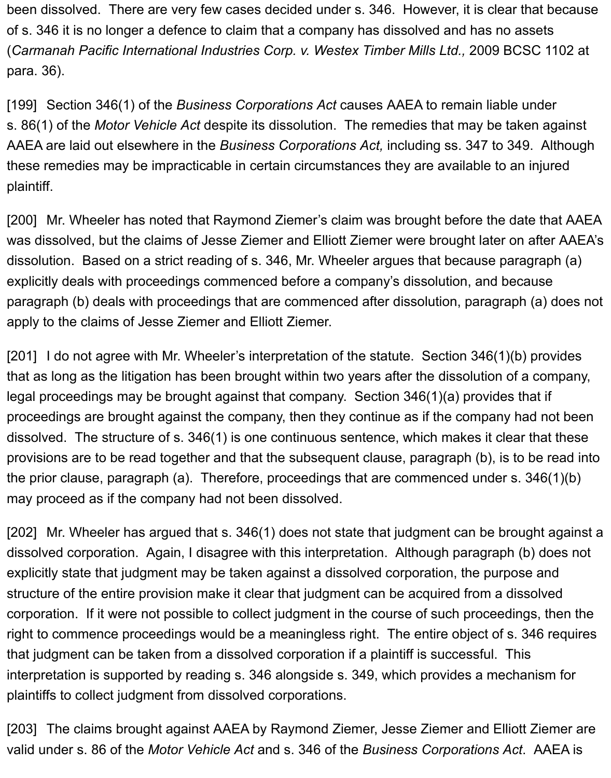been dissolved. There are very few cases decided under s. 346. However, it is clear that because of s. 346 it is no longer a defence to claim that a company has dissolved and has no assets (*Carmanah Pacific International Industries Corp. v. Westex Timber Mills Ltd.,* 2009 BCSC 1102 at para. 36).

[199] Section 346(1) of the *Business Corporations Act* causes AAEA to remain liable under s. 86(1) of the *Motor Vehicle Act* despite its dissolution. The remedies that may be taken against AAEA are laid out elsewhere in the *Business Corporations Act,* including ss. 347 to 349. Although these remedies may be impracticable in certain circumstances they are available to an injured plaintiff.

[200] Mr. Wheeler has noted that Raymond Ziemer's claim was brought before the date that AAEA was dissolved, but the claims of Jesse Ziemer and Elliott Ziemer were brought later on after AAEA's dissolution. Based on a strict reading of s. 346, Mr. Wheeler argues that because paragraph (a) explicitly deals with proceedings commenced before a company's dissolution, and because paragraph (b) deals with proceedings that are commenced after dissolution, paragraph (a) does not apply to the claims of Jesse Ziemer and Elliott Ziemer.

[201] I do not agree with Mr. Wheeler's interpretation of the statute. Section 346(1)(b) provides that as long as the litigation has been brought within two years after the dissolution of a company, legal proceedings may be brought against that company. Section 346(1)(a) provides that if proceedings are brought against the company, then they continue as if the company had not been dissolved. The structure of s. 346(1) is one continuous sentence, which makes it clear that these provisions are to be read together and that the subsequent clause, paragraph (b), is to be read into the prior clause, paragraph (a). Therefore, proceedings that are commenced under s. 346(1)(b) may proceed as if the company had not been dissolved.

[202] Mr. Wheeler has argued that s. 346(1) does not state that judgment can be brought against a dissolved corporation. Again, I disagree with this interpretation. Although paragraph (b) does not explicitly state that judgment may be taken against a dissolved corporation, the purpose and structure of the entire provision make it clear that judgment can be acquired from a dissolved corporation. If it were not possible to collect judgment in the course of such proceedings, then the right to commence proceedings would be a meaningless right. The entire object of s. 346 requires that judgment can be taken from a dissolved corporation if a plaintiff is successful. This interpretation is supported by reading s. 346 alongside s. 349, which provides a mechanism for plaintiffs to collect judgment from dissolved corporations.

[203] The claims brought against AAEA by Raymond Ziemer, Jesse Ziemer and Elliott Ziemer are valid under s. 86 of the *Motor Vehicle Act* and s. 346 of the *Business Corporations Act*. AAEA is